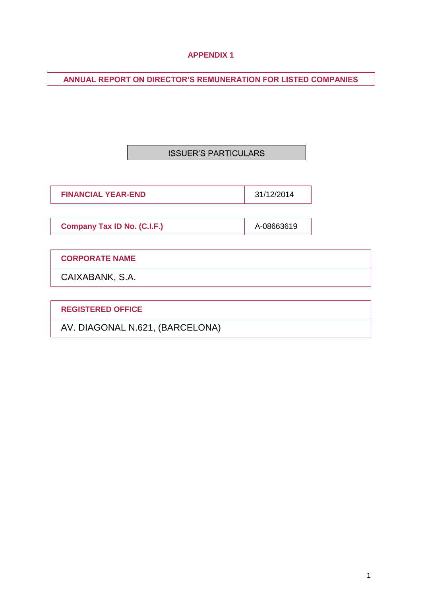## **APPENDIX 1**

**ANNUAL REPORT ON DIRECTOR'S REMUNERATION FOR LISTED COMPANIES**

## ISSUER'S PARTICULARS

**FINANCIAL YEAR-END** 31/12/2014

**Company Tax ID No. (C.I.F.)** A-08663619

**CORPORATE NAME**

CAIXABANK, S.A.

**REGISTERED OFFICE**

AV. DIAGONAL N.621, (BARCELONA)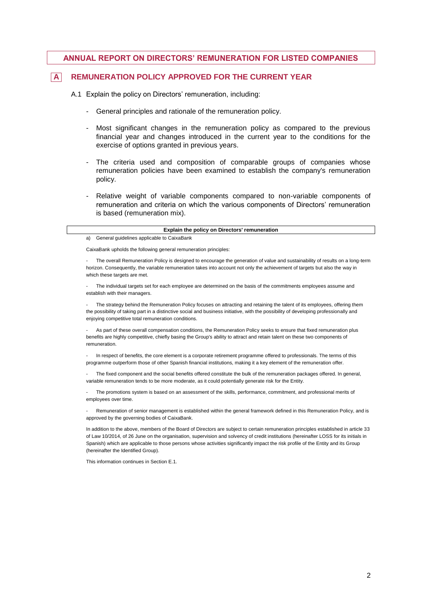### **ANNUAL REPORT ON DIRECTORS' REMUNERATION FOR LISTED COMPANIES**

### **A REMUNERATION POLICY APPROVED FOR THE CURRENT YEAR**

A.1 Explain the policy on Directors' remuneration, including:

- General principles and rationale of the remuneration policy.
- Most significant changes in the remuneration policy as compared to the previous financial year and changes introduced in the current year to the conditions for the exercise of options granted in previous years.
- The criteria used and composition of comparable groups of companies whose remuneration policies have been examined to establish the company's remuneration policy.
- Relative weight of variable components compared to non-variable components of remuneration and criteria on which the various components of Directors' remuneration is based (remuneration mix).

#### **Explain the policy on Directors' remuneration**

a) General guidelines applicable to CaixaBank

CaixaBank upholds the following general remuneration principles:

The overall Remuneration Policy is designed to encourage the generation of value and sustainability of results on a long-term horizon. Consequently, the variable remuneration takes into account not only the achievement of targets but also the way in which these targets are met.

The individual targets set for each employee are determined on the basis of the commitments employees assume and establish with their managers.

- The strategy behind the Remuneration Policy focuses on attracting and retaining the talent of its employees, offering them the possibility of taking part in a distinctive social and business initiative, with the possibility of developing professionally and enjoying competitive total remuneration conditions.

As part of these overall compensation conditions, the Remuneration Policy seeks to ensure that fixed remuneration plus benefits are highly competitive, chiefly basing the Group's ability to attract and retain talent on these two components of remuneration.

In respect of benefits, the core element is a corporate retirement programme offered to professionals. The terms of this programme outperform those of other Spanish financial institutions, making it a key element of the remuneration offer.

The fixed component and the social benefits offered constitute the bulk of the remuneration packages offered. In general, variable remuneration tends to be more moderate, as it could potentially generate risk for the Entity.

The promotions system is based on an assessment of the skills, performance, commitment, and professional merits of employees over time.

Remuneration of senior management is established within the general framework defined in this Remuneration Policy, and is approved by the governing bodies of CaixaBank.

In addition to the above, members of the Board of Directors are subject to certain remuneration principles established in article 33 of Law 10/2014, of 26 June on the organisation, supervision and solvency of credit institutions (hereinafter LOSS for its initials in Spanish) which are applicable to those persons whose activities significantly impact the risk profile of the Entity and its Group (hereinafter the Identified Group).

This information continues in Section E.1.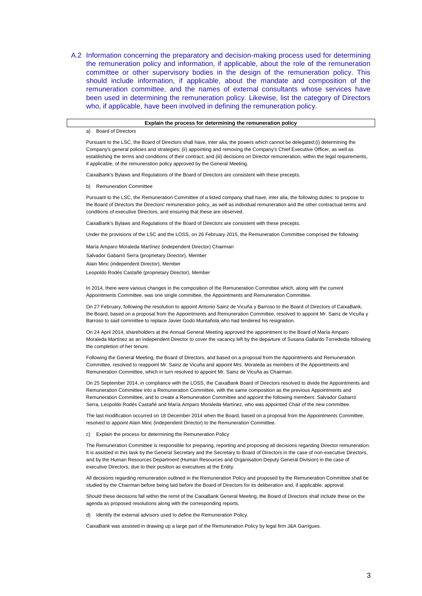A.2 Information concerning the preparatory and decision-making process used for determining the remuneration policy and information, if applicable, about the role of the remuneration committee or other supervisory bodies in the design of the remuneration policy. This should include information, if applicable, about the mandate and composition of the remuneration committee, and the names of external consultants whose services have been used in determining the remuneration policy. Likewise, list the category of Directors who, if applicable, have been involved in defining the remuneration policy.

#### **Explain the process for determining the remuneration policy**

a) Board of Directors

Pursuant to the LSC, the Board of Directors shall have, inter alia, the powers which cannot be delegated:(i) determining the Company's general policies and strategies; (ii) appointing and removing the Company's Chief Executive Officer, as well as establishing the terms and conditions of their contract; and (iii) decisions on Director remuneration, within the legal requirements, if applicable, of the remuneration policy approved by the General Meeting.

CaixaBank's Bylaws and Regulations of the Board of Directors are consistent with these precepts.

b) Remuneration Committee

Pursuant to the LSC, the Remuneration Committee of a listed company shall have, inter alia, the following duties: to propose to the Board of Directors the Directors' remuneration policy, as well as individual remuneration and the other contractual terms and conditions of executive Directors, and ensuring that these are observed.

CaixaBank's Bylaws and Regulations of the Board of Directors are consistent with these precepts.

Under the provisions of the LSC and the LOSS, on 26 February 2015, the Remuneration Committee comprised the following:

María Amparo Moraleda Martínez (independent Director) Chairman

Salvador Gabarró Serra (proprietary Director), Member

Alain Minc (independent Director), Member

Leopoldo Rodés Castañé (proprietary Director), Member

In 2014, there were various changes in the composition of the Remuneration Committee which, along with the current Appointments Committee, was one single committee, the Appointments and Remuneration Committee.

On 27 February, following the resolution to appoint Antonio Sainz de Vicuña y Barroso to the Board of Directors of CaixaBank, the Board, based on a proposal from the Appointments and Remuneration Committee, resolved to appoint Mr. Sainz de Vicuña y Barroso to said committee to replace Javier Godó Muntañola who had tendered his resignation.

On 24 April 2014, shareholders at the Annual General Meeting approved the appointment to the Board of María Amparo Moraleda Martínez as an independent Director to cover the vacancy left by the departure of Susana Gallardo Torrededia following the completion of her tenure.

Following the General Meeting, the Board of Directors, and based on a proposal from the Appointments and Remuneration Committee, resolved to reappoint Mr. Sainz de Vicuña and appoint Mrs. Moraleda as members of the Appointments and Remuneration Committee, which in turn resolved to appoint Mr. Sainz de Vicuña as Chairman.

On 25 September 2014, in compliance with the LOSS, the CaixaBank Board of Directors resolved to divide the Appointments and Remuneration Committee into a Remuneration Committee, with the same composition as the previous Appointments and Remuneration Committee, and to create a Remuneration Committee and appoint the following members: Salvador Gabarró Serra, Leopoldo Rodés Castañé and María Amparo Moraleda Martínez, who was appointed Chair of the new committee.

The last modification occurred on 18 December 2014 when the Board, based on a proposal from the Appointments Committee, resolved to appoint Alain Minc (independent Director) to the Remuneration Committee.

c) Explain the process for determining the Remuneration Policy

The Remuneration Committee is responsible for preparing, reporting and proposing all decisions regarding Director remuneration. It is assisted in this task by the General Secretary and the Secretary to Board of Directors in the case of non-executive Directors, and by the Human Resources Department (Human Resources and Organisation Deputy General Division) in the case of executive Directors, due to their position as executives at the Entity.

All decisions regarding remuneration outlined in the Remuneration Policy and proposed by the Remuneration Committee shall be studied by the Chairman before being laid before the Board of Directors for its deliberation and, if applicable, approval.

Should these decisions fall within the remit of the CaixaBank General Meeting, the Board of Directors shall include these on the agenda as proposed resolutions along with the corresponding reports.

d) Identify the external advisors used to define the Remuneration Policy.

CaixaBank was assisted in drawing up a large part of the Remuneration Policy by legal firm J&A Garrigues.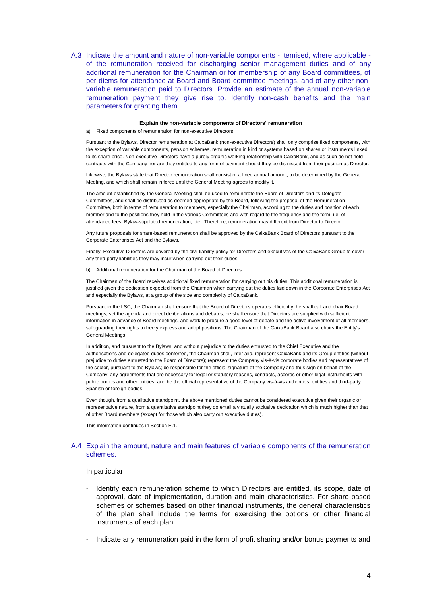A.3 Indicate the amount and nature of non-variable components - itemised, where applicable of the remuneration received for discharging senior management duties and of any additional remuneration for the Chairman or for membership of any Board committees, of per diems for attendance at Board and Board committee meetings, and of any other nonvariable remuneration paid to Directors. Provide an estimate of the annual non-variable remuneration payment they give rise to. Identify non-cash benefits and the main parameters for granting them.

#### **Explain the non-variable components of Directors' remuneration**

a) Fixed components of remuneration for non-executive Directors

Pursuant to the Bylaws, Director remuneration at CaixaBank (non-executive Directors) shall only comprise fixed components, with the exception of variable components, pension schemes, remuneration in kind or systems based on shares or instruments linked to its share price. Non-executive Directors have a purely organic working relationship with CaixaBank, and as such do not hold contracts with the Company nor are they entitled to any form of payment should they be dismissed from their position as Director.

Likewise, the Bylaws state that Director remuneration shall consist of a fixed annual amount, to be determined by the General Meeting, and which shall remain in force until the General Meeting agrees to modify it.

The amount established by the General Meeting shall be used to remunerate the Board of Directors and its Delegate Committees, and shall be distributed as deemed appropriate by the Board, following the proposal of the Remuneration Committee, both in terms of remuneration to members, especially the Chairman, according to the duties and position of each member and to the positions they hold in the various Committees and with regard to the frequency and the form, i.e. of attendance fees, Bylaw-stipulated remuneration, etc.. Therefore, remuneration may different from Director to Director.

Any future proposals for share-based remuneration shall be approved by the CaixaBank Board of Directors pursuant to the Corporate Enterprises Act and the Bylaws.

Finally, Executive Directors are covered by the civil liability policy for Directors and executives of the CaixaBank Group to cover any third-party liabilities they may incur when carrying out their duties.

b) Additional remuneration for the Chairman of the Board of Directors

The Chairman of the Board receives additional fixed remuneration for carrying out his duties. This additional remuneration is justified given the dedication expected from the Chairman when carrying out the duties laid down in the Corporate Enterprises Act and especially the Bylaws, at a group of the size and complexity of CaixaBank.

Pursuant to the LSC, the Chairman shall ensure that the Board of Directors operates efficiently; he shall call and chair Board meetings; set the agenda and direct deliberations and debates; he shall ensure that Directors are supplied with sufficient information in advance of Board meetings, and work to procure a good level of debate and the active involvement of all members, safeguarding their rights to freely express and adopt positions. The Chairman of the CaixaBank Board also chairs the Entity's General Meetings.

In addition, and pursuant to the Bylaws, and without prejudice to the duties entrusted to the Chief Executive and the authorisations and delegated duties conferred, the Chairman shall, inter alia, represent CaixaBank and its Group entities (without prejudice to duties entrusted to the Board of Directors); represent the Company vis-à-vis corporate bodies and representatives of the sector, pursuant to the Bylaws; be responsible for the official signature of the Company and thus sign on behalf of the Company, any agreements that are necessary for legal or statutory reasons, contracts, accords or other legal instruments with public bodies and other entities; and be the official representative of the Company vis-à-vis authorities, entities and third-party Spanish or foreign bodies.

Even though, from a qualitative standpoint, the above mentioned duties cannot be considered executive given their organic or representative nature, from a quantitative standpoint they do entail a virtually exclusive dedication which is much higher than that of other Board members (except for those which also carry out executive duties).

This information continues in Section E.1.

#### A.4 Explain the amount, nature and main features of variable components of the remuneration schemes.

#### In particular:

- Identify each remuneration scheme to which Directors are entitled, its scope, date of approval, date of implementation, duration and main characteristics. For share-based schemes or schemes based on other financial instruments, the general characteristics of the plan shall include the terms for exercising the options or other financial instruments of each plan.
- Indicate any remuneration paid in the form of profit sharing and/or bonus payments and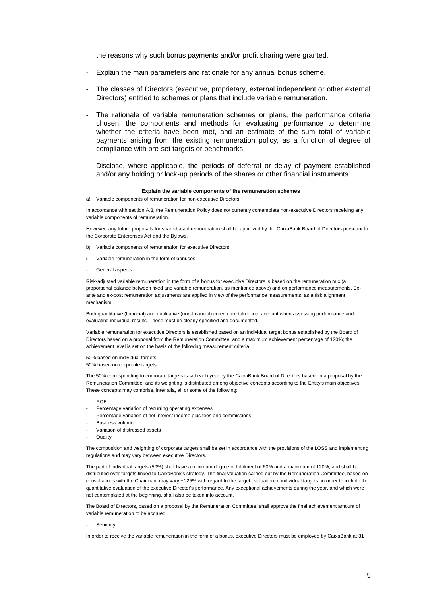the reasons why such bonus payments and/or profit sharing were granted.

- Explain the main parameters and rationale for any annual bonus scheme.
- The classes of Directors (executive, proprietary, external independent or other external Directors) entitled to schemes or plans that include variable remuneration.
- The rationale of variable remuneration schemes or plans, the performance criteria chosen, the components and methods for evaluating performance to determine whether the criteria have been met, and an estimate of the sum total of variable payments arising from the existing remuneration policy, as a function of degree of compliance with pre-set targets or benchmarks.
- Disclose, where applicable, the periods of deferral or delay of payment established and/or any holding or lock-up periods of the shares or other financial instruments.

| Explain the variable components of the remuneration schemes |                                                                                                                              |  |  |  |  |  |
|-------------------------------------------------------------|------------------------------------------------------------------------------------------------------------------------------|--|--|--|--|--|
|                                                             | Variable components of remuneration for non-executive Directors                                                              |  |  |  |  |  |
|                                                             | In accordance with section A.3, the Remuneration Policy does not currently contemplate non-executive Directors receiving any |  |  |  |  |  |

variable components of remuneration.

However, any future proposals for share-based remuneration shall be approved by the CaixaBank Board of Directors pursuant to the Corporate Enterprises Act and the Bylaws.

- b) Variable components of remuneration for executive Directors
- i. Variable remuneration in the form of bonuses
- General aspects

Risk-adjusted variable remuneration in the form of a bonus for executive Directors is based on the remuneration mix (a proportional balance between fixed and variable remuneration, as mentioned above) and on performance measurements. Exante and ex-post remuneration adjustments are applied in view of the performance measurements, as a risk alignment mechanism.

Both quantitative (financial) and qualitative (non-financial) criteria are taken into account when assessing performance and evaluating individual results. These must be clearly specified and documented.

Variable remuneration for executive Directors is established based on an individual target bonus established by the Board of Directors based on a proposal from the Remuneration Committee, and a maximum achievement percentage of 120%; the achievement level is set on the basis of the following measurement criteria:

50% based on individual targets 50% based on corporate targets

The 50% corresponding to corporate targets is set each year by the CaixaBank Board of Directors based on a proposal by the Remuneration Committee, and its weighting is distributed among objective concepts according to the Entity's main objectives. These concepts may comprise, inter alia, all or some of the following:

- ROE
- Percentage variation of recurring operating expenses
- Percentage variation of net interest income plus fees and commissions
- Business volume
- Variation of distressed assets
- **Quality**

The composition and weighting of corporate targets shall be set in accordance with the provisions of the LOSS and implementing regulations and may vary between executive Directors.

The part of individual targets (50%) shall have a minimum degree of fulfilment of 60% and a maximum of 120%, and shall be distributed over targets linked to CaixaBank's strategy. The final valuation carried out by the Remuneration Committee, based on consultations with the Chairman, may vary +/-25% with regard to the target evaluation of individual targets, in order to include the quantitative evaluation of the executive Director's performance. Any exceptional achievements during the year, and which were not contemplated at the beginning, shall also be taken into account.

The Board of Directors, based on a proposal by the Remuneration Committee, shall approve the final achievement amount of variable remuneration to be accrued.

Seniority

In order to receive the variable remuneration in the form of a bonus, executive Directors must be employed by CaixaBank at 31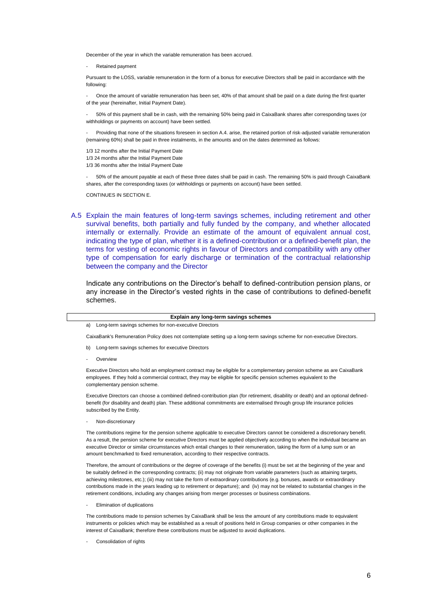December of the year in which the variable remuneration has been accrued.

- Retained payment

Pursuant to the LOSS, variable remuneration in the form of a bonus for executive Directors shall be paid in accordance with the following:

- Once the amount of variable remuneration has been set, 40% of that amount shall be paid on a date during the first quarter of the year (hereinafter, Initial Payment Date).

- 50% of this payment shall be in cash, with the remaining 50% being paid in CaixaBank shares after corresponding taxes (or withholdings or payments on account) have been settled.

Providing that none of the situations foreseen in section A.4. arise, the retained portion of risk-adjusted variable remuneration (remaining 60%) shall be paid in three instalments, in the amounts and on the dates determined as follows:

1/3 12 months after the Initial Payment Date

1/3 24 months after the Initial Payment Date

1/3 36 months after the Initial Payment Date

- 50% of the amount payable at each of these three dates shall be paid in cash. The remaining 50% is paid through CaixaBank shares, after the corresponding taxes (or withholdings or payments on account) have been settled.

CONTINUES IN SECTION E.

A.5 Explain the main features of long-term savings schemes, including retirement and other survival benefits, both partially and fully funded by the company, and whether allocated internally or externally. Provide an estimate of the amount of equivalent annual cost, indicating the type of plan, whether it is a defined-contribution or a defined-benefit plan, the terms for vesting of economic rights in favour of Directors and compatibility with any other type of compensation for early discharge or termination of the contractual relationship between the company and the Director

Indicate any contributions on the Director's behalf to defined-contribution pension plans, or any increase in the Director's vested rights in the case of contributions to defined-benefit schemes.

#### **Explain any long-term savings schemes**

a) Long-term savings schemes for non-executive Directors

CaixaBank's Remuneration Policy does not contemplate setting up a long-term savings scheme for non-executive Directors.

- b) Long-term savings schemes for executive Directors
	- **Overview**

Executive Directors who hold an employment contract may be eligible for a complementary pension scheme as are CaixaBank employees. If they hold a commercial contract, they may be eligible for specific pension schemes equivalent to the complementary pension scheme.

Executive Directors can choose a combined defined-contribution plan (for retirement, disability or death) and an optional definedbenefit (for disability and death) plan. These additional commitments are externalised through group life insurance policies subscribed by the Entity.

Non-discretionary

The contributions regime for the pension scheme applicable to executive Directors cannot be considered a discretionary benefit. As a result, the pension scheme for executive Directors must be applied objectively according to when the individual became an executive Director or similar circumstances which entail changes to their remuneration, taking the form of a lump sum or an amount benchmarked to fixed remuneration, according to their respective contracts.

Therefore, the amount of contributions or the degree of coverage of the benefits (i) must be set at the beginning of the year and be suitably defined in the corresponding contracts; (ii) may not originate from variable parameters (such as attaining targets, achieving milestones, etc.); (iii) may not take the form of extraordinary contributions (e.g. bonuses, awards or extraordinary contributions made in the years leading up to retirement or departure); and (iv) may not be related to substantial changes in the retirement conditions, including any changes arising from merger processes or business combinations.

- Elimination of duplications

The contributions made to pension schemes by CaixaBank shall be less the amount of any contributions made to equivalent instruments or policies which may be established as a result of positions held in Group companies or other companies in the interest of CaixaBank; therefore these contributions must be adjusted to avoid duplications.

Consolidation of rights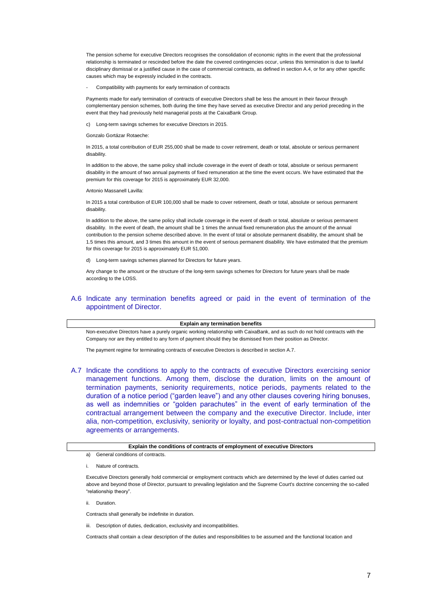The pension scheme for executive Directors recognises the consolidation of economic rights in the event that the professional relationship is terminated or rescinded before the date the covered contingencies occur, unless this termination is due to lawful disciplinary dismissal or a justified cause in the case of commercial contracts, as defined in section A.4, or for any other specific causes which may be expressly included in the contracts.

Compatibility with payments for early termination of contracts

Payments made for early termination of contracts of executive Directors shall be less the amount in their favour through complementary pension schemes, both during the time they have served as executive Director and any period preceding in the event that they had previously held managerial posts at the CaixaBank Group.

c) Long-term savings schemes for executive Directors in 2015.

Gonzalo Gortázar Rotaeche:

In 2015, a total contribution of EUR 255,000 shall be made to cover retirement, death or total, absolute or serious permanent disability.

In addition to the above, the same policy shall include coverage in the event of death or total, absolute or serious permanent disability in the amount of two annual payments of fixed remuneration at the time the event occurs. We have estimated that the premium for this coverage for 2015 is approximately EUR 32,000.

#### Antonio Massanell Lavilla:

In 2015 a total contribution of EUR 100,000 shall be made to cover retirement, death or total, absolute or serious permanent disability.

In addition to the above, the same policy shall include coverage in the event of death or total, absolute or serious permanent disability. In the event of death, the amount shall be 1 times the annual fixed remuneration plus the amount of the annual contribution to the pension scheme described above. In the event of total or absolute permanent disability, the amount shall be 1.5 times this amount, and 3 times this amount in the event of serious permanent disability. We have estimated that the premium for this coverage for 2015 is approximately EUR 51,000.

d) Long-term savings schemes planned for Directors for future years.

Any change to the amount or the structure of the long-term savings schemes for Directors for future years shall be made according to the LOSS.

#### A.6 Indicate any termination benefits agreed or paid in the event of termination of the appointment of Director.

#### **Explain any termination benefits**

Non-executive Directors have a purely organic working relationship with CaixaBank, and as such do not hold contracts with the Company nor are they entitled to any form of payment should they be dismissed from their position as Director.

The payment regime for terminating contracts of executive Directors is described in section A.7.

A.7 Indicate the conditions to apply to the contracts of executive Directors exercising senior management functions. Among them, disclose the duration, limits on the amount of termination payments, seniority requirements, notice periods, payments related to the duration of a notice period ("garden leave") and any other clauses covering hiring bonuses, as well as indemnities or "golden parachutes" in the event of early termination of the contractual arrangement between the company and the executive Director. Include, inter alia, non-competition, exclusivity, seniority or loyalty, and post-contractual non-competition agreements or arrangements.

#### **Explain the conditions of contracts of employment of executive Directors**

- a) General conditions of contracts.
- i. Nature of contracts.

Executive Directors generally hold commercial or employment contracts which are determined by the level of duties carried out above and beyond those of Director, pursuant to prevailing legislation and the Supreme Court's doctrine concerning the so-called "relationship theory".

ii. Duration.

Contracts shall generally be indefinite in duration.

iii. Description of duties, dedication, exclusivity and incompatibilities.

Contracts shall contain a clear description of the duties and responsibilities to be assumed and the functional location and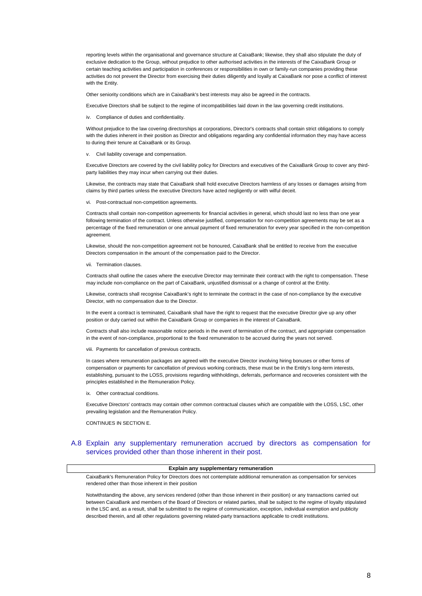reporting levels within the organisational and governance structure at CaixaBank; likewise, they shall also stipulate the duty of exclusive dedication to the Group, without prejudice to other authorised activities in the interests of the CaixaBank Group or certain teaching activities and participation in conferences or responsibilities in own or family-run companies providing these activities do not prevent the Director from exercising their duties diligently and loyally at CaixaBank nor pose a conflict of interest with the Entity.

Other seniority conditions which are in CaixaBank's best interests may also be agreed in the contracts.

Executive Directors shall be subject to the regime of incompatibilities laid down in the law governing credit institutions.

iv. Compliance of duties and confidentiality.

Without prejudice to the law covering directorships at corporations, Director's contracts shall contain strict obligations to comply with the duties inherent in their position as Director and obligations regarding any confidential information they may have access to during their tenure at CaixaBank or its Group.

v. Civil liability coverage and compensation.

Executive Directors are covered by the civil liability policy for Directors and executives of the CaixaBank Group to cover any thirdparty liabilities they may incur when carrying out their duties.

Likewise, the contracts may state that CaixaBank shall hold executive Directors harmless of any losses or damages arising from claims by third parties unless the executive Directors have acted negligently or with wilful deceit.

vi. Post-contractual non-competition agreements.

Contracts shall contain non-competition agreements for financial activities in general, which should last no less than one year following termination of the contract. Unless otherwise justified, compensation for non-competition agreements may be set as a percentage of the fixed remuneration or one annual payment of fixed remuneration for every year specified in the non-competition agreement.

Likewise, should the non-competition agreement not be honoured, CaixaBank shall be entitled to receive from the executive Directors compensation in the amount of the compensation paid to the Director.

#### vii. Termination clauses.

Contracts shall outline the cases where the executive Director may terminate their contract with the right to compensation. These may include non-compliance on the part of CaixaBank, unjustified dismissal or a change of control at the Entity.

Likewise, contracts shall recognise CaixaBank's right to terminate the contract in the case of non-compliance by the executive Director, with no compensation due to the Director.

In the event a contract is terminated, CaixaBank shall have the right to request that the executive Director give up any other position or duty carried out within the CaixaBank Group or companies in the interest of CaixaBank.

Contracts shall also include reasonable notice periods in the event of termination of the contract, and appropriate compensation in the event of non-compliance, proportional to the fixed remuneration to be accrued during the years not served.

viii. Payments for cancellation of previous contracts.

In cases where remuneration packages are agreed with the executive Director involving hiring bonuses or other forms of compensation or payments for cancellation of previous working contracts, these must be in the Entity's long-term interests, establishing, pursuant to the LOSS, provisions regarding withholdings, deferrals, performance and recoveries consistent with the principles established in the Remuneration Policy.

ix. Other contractual conditions.

Executive Directors' contracts may contain other common contractual clauses which are compatible with the LOSS, LSC, other prevailing legislation and the Remuneration Policy.

CONTINUES IN SECTION E.

#### A.8 Explain any supplementary remuneration accrued by directors as compensation for services provided other than those inherent in their post.

#### **Explain any supplementary remuneration**

CaixaBank's Remuneration Policy for Directors does not contemplate additional remuneration as compensation for services rendered other than those inherent in their position

Notwithstanding the above, any services rendered (other than those inherent in their position) or any transactions carried out between CaixaBank and members of the Board of Directors or related parties, shall be subject to the regime of loyalty stipulated in the LSC and, as a result, shall be submitted to the regime of communication, exception, individual exemption and publicity described therein, and all other regulations governing related-party transactions applicable to credit institutions.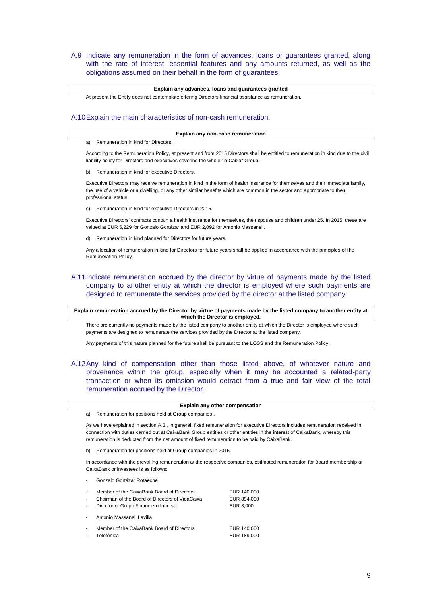A.9 Indicate any remuneration in the form of advances, loans or guarantees granted, along with the rate of interest, essential features and any amounts returned, as well as the obligations assumed on their behalf in the form of guarantees.

#### **Explain any advances, loans and guarantees granted**

At present the Entity does not contemplate offering Directors financial assistance as remuneration.

#### A.10Explain the main characteristics of non-cash remuneration.

#### **Explain any non-cash remuneration**

a) Remuneration in kind for Directors.

According to the Remuneration Policy, at present and from 2015 Directors shall be entitled to remuneration in kind due to the civil liability policy for Directors and executives covering the whole "la Caixa" Group.

b) Remuneration in kind for executive Directors.

Executive Directors may receive remuneration in kind in the form of health insurance for themselves and their immediate family, the use of a vehicle or a dwelling, or any other similar benefits which are common in the sector and appropriate to their professional status.

c) Remuneration in kind for executive Directors in 2015.

Executive Directors' contracts contain a health insurance for themselves, their spouse and children under 25. In 2015, these are valued at EUR 5,229 for Gonzalo Gortázar and EUR 2,092 for Antonio Massanell.

d) Remuneration in kind planned for Directors for future years.

Any allocation of remuneration in kind for Directors for future years shall be applied in accordance with the principles of the Remuneration Policy.

### A.11Indicate remuneration accrued by the director by virtue of payments made by the listed company to another entity at which the director is employed where such payments are designed to remunerate the services provided by the director at the listed company.

**Explain remuneration accrued by the Director by virtue of payments made by the listed company to another entity at which the Director is employed.**

There are currently no payments made by the listed company to another entity at which the Director is employed where such payments are designed to remunerate the services provided by the Director at the listed company.

Any payments of this nature planned for the future shall be pursuant to the LOSS and the Remuneration Policy.

A.12Any kind of compensation other than those listed above, of whatever nature and provenance within the group, especially when it may be accounted a related-party transaction or when its omission would detract from a true and fair view of the total remuneration accrued by the Director.

|  |  | Explain any other compensation |
|--|--|--------------------------------|
|--|--|--------------------------------|

a) Remuneration for positions held at Group companies .

As we have explained in section A.3., in general, fixed remuneration for executive Directors includes remuneration received in connection with duties carried out at CaixaBank Group entities or other entities in the interest of CaixaBank, whereby this remuneration is deducted from the net amount of fixed remuneration to be paid by CaixaBank.

b) Remuneration for positions held at Group companies in 2015.

In accordance with the prevailing remuneration at the respective companies, estimated remuneration for Board membership at CaixaBank or investees is as follows:

Gonzalo Gortázar Rotaeche

| L.                       | Member of the CaixaBank Board of Directors      | EUR 140,000 |
|--------------------------|-------------------------------------------------|-------------|
| ä,                       | Chairman of the Board of Directors of VidaCaixa | EUR 894,000 |
| $\overline{\phantom{0}}$ | Director of Grupo Financiero Inbursa            | EUR 3,000   |
| $\overline{\phantom{0}}$ | Antonio Massanell Lavilla                       |             |
| ÷                        | Member of the CaixaBank Board of Directors      | EUR 140,000 |
| ÷                        | Telefónica                                      | EUR 189,000 |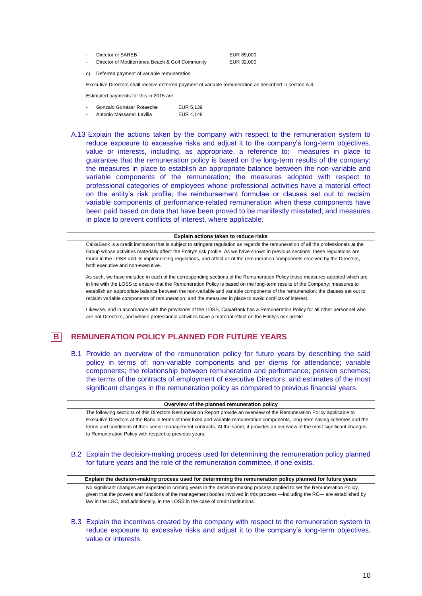| $\sim$ | Director of SAREB                               | EUR 85,000 |
|--------|-------------------------------------------------|------------|
|        | Director of Mediterránea Beach & Golf Community | EUR 32,000 |

c) Deferred payment of variable remuneration.

Executive Directors shall receive deferred payment of variable remuneration as described in section A.4.

Estimated payments for this in 2015 are:

| $\overline{\phantom{a}}$ | Gonzalo Gortázar Rotaeche | EUR 5.139 |
|--------------------------|---------------------------|-----------|
| $\overline{\phantom{a}}$ | Antonio Massanell Lavilla | EUR 4,148 |

A.13 Explain the actions taken by the company with respect to the remuneration system to reduce exposure to excessive risks and adjust it to the company's long-term objectives, value or interests, including, as appropriate, a reference to: measures in place to guarantee that the remuneration policy is based on the long-term results of the company; the measures in place to establish an appropriate balance between the non-variable and variable components of the remuneration; the measures adopted with respect to professional categories of employees whose professional activities have a material effect on the entity's risk profile; the reimbursement formulae or clauses set out to reclaim variable components of performance-related remuneration when these components have been paid based on data that have been proved to be manifestly misstated; and measures in place to prevent conflicts of interest, where applicable.

#### **Explain actions taken to reduce risks**

CaixaBank is a credit institution that is subject to stringent regulation as regards the remuneration of all the professionals at the Group whose activities materially affect the Entity's risk profile. As we have shown in previous sections, these regulations are found in the LOSS and its implementing regulations, and affect all of the remuneration components received by the Directors, both executive and non-executive.

As such, we have included in each of the corresponding sections of the Remuneration Policy those measures adopted which are in line with the LOSS to ensure that the Remuneration Policy is based on the long-term results of the Company; measures to establish an appropriate balance between the non-variable and variable components of the remuneration; the clauses set out to reclaim variable components of remuneration; and the measures in place to avoid conflicts of interest.

Likewise, and in accordance with the provisions of the LOSS, CaixaBank has a Remuneration Policy for all other personnel who are not Directors, and whose professional activities have a material effect on the Entity's risk profile

### **B REMUNERATION POLICY PLANNED FOR FUTURE YEARS**

B.1 Provide an overview of the remuneration policy for future years by describing the said policy in terms of: non-variable components and per diems for attendance; variable components; the relationship between remuneration and performance; pension schemes; the terms of the contracts of employment of executive Directors; and estimates of the most significant changes in the remuneration policy as compared to previous financial years.

|  |  |  | Overview of the planned remuneration policy |  |
|--|--|--|---------------------------------------------|--|
|--|--|--|---------------------------------------------|--|

The following sections of this Directors Remuneration Report provide an overview of the Remuneration Policy applicable to Executive Directors at the Bank in terms of their fixed and variable remuneration components, long-term saving schemes and the terms and conditions of their senior management contracts. At the same, it provides an overview of the most significant changes to Remuneration Policy with respect to previous years.

B.2 Explain the decision-making process used for determining the remuneration policy planned for future years and the role of the remuneration committee, if one exists.

**Explain the decision-making process used for determining the remuneration policy planned for future years** No significant changes are expected in coming years in the decision-making process applied to set the Remuneration Policy, given that the powers and functions of the management bodies involved in this process —including the RC— are established by law in the LSC, and additionally, in the LOSS in the case of credit institutions.

B.3 Explain the incentives created by the company with respect to the remuneration system to reduce exposure to excessive risks and adjust it to the company's long-term objectives, value or interests.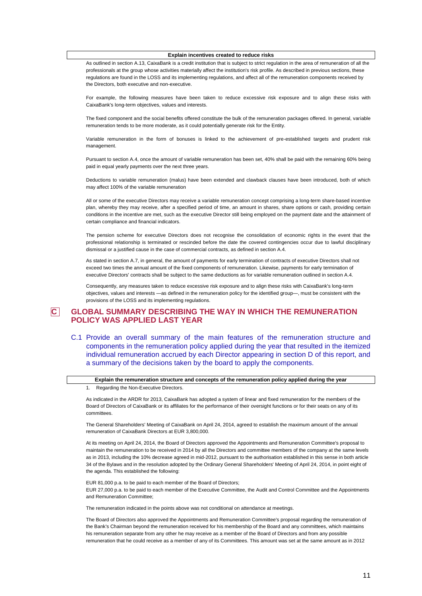**Explain incentives created to reduce risks**

As outlined in section A.13, CaixaBank is a credit institution that is subject to strict regulation in the area of remuneration of all the professionals at the group whose activities materially affect the institution's risk profile. As described in previous sections, these regulations are found in the LOSS and its implementing regulations, and affect all of the remuneration components received by the Directors, both executive and non-executive.

For example, the following measures have been taken to reduce excessive risk exposure and to align these risks with CaixaBank's long-term objectives, values and interests.

The fixed component and the social benefits offered constitute the bulk of the remuneration packages offered. In general, variable remuneration tends to be more moderate, as it could potentially generate risk for the Entity.

Variable remuneration in the form of bonuses is linked to the achievement of pre-established targets and prudent risk management.

Pursuant to section A.4, once the amount of variable remuneration has been set, 40% shall be paid with the remaining 60% being paid in equal yearly payments over the next three years.

Deductions to variable remuneration (malus) have been extended and clawback clauses have been introduced, both of which may affect 100% of the variable remuneration

All or some of the executive Directors may receive a variable remuneration concept comprising a long-term share-based incentive plan, whereby they may receive, after a specified period of time, an amount in shares, share options or cash, providing certain conditions in the incentive are met, such as the executive Director still being employed on the payment date and the attainment of certain compliance and financial indicators.

The pension scheme for executive Directors does not recognise the consolidation of economic rights in the event that the professional relationship is terminated or rescinded before the date the covered contingencies occur due to lawful disciplinary dismissal or a justified cause in the case of commercial contracts, as defined in section A.4.

As stated in section A.7, in general, the amount of payments for early termination of contracts of executive Directors shall not exceed two times the annual amount of the fixed components of remuneration. Likewise, payments for early termination of executive Directors' contracts shall be subject to the same deductions as for variable remuneration outlined in section A.4.

Consequently, any measures taken to reduce excessive risk exposure and to align these risks with CaixaBank's long-term objectives, values and interests —as defined in the remuneration policy for the identified group—, must be consistent with the provisions of the LOSS and its implementing regulations.

### **C GLOBAL SUMMARY DESCRIBING THE WAY IN WHICH THE REMUNERATION POLICY WAS APPLIED LAST YEAR**

C.1 Provide an overall summary of the main features of the remuneration structure and components in the remuneration policy applied during the year that resulted in the itemized individual remuneration accrued by each Director appearing in section D of this report, and a summary of the decisions taken by the board to apply the components.

**Explain the remuneration structure and concepts of the remuneration policy applied during the year**

1. Regarding the Non-Executive Directors.

As indicated in the ARDR for 2013, CaixaBank has adopted a system of linear and fixed remuneration for the members of the Board of Directors of CaixaBank or its affiliates for the performance of their oversight functions or for their seats on any of its committees.

The General Shareholders' Meeting of CaixaBank on April 24, 2014, agreed to establish the maximum amount of the annual remuneration of CaixaBank Directors at EUR 3,800,000.

At its meeting on April 24, 2014, the Board of Directors approved the Appointments and Remuneration Committee's proposal to maintain the remuneration to be received in 2014 by all the Directors and committee members of the company at the same levels as in 2013, including the 10% decrease agreed in mid-2012, pursuant to the authorisation established in this sense in both article 34 of the Bylaws and in the resolution adopted by the Ordinary General Shareholders' Meeting of April 24, 2014, in point eight of the agenda. This established the following:

EUR 81,000 p.a. to be paid to each member of the Board of Directors;

EUR 27,000 p.a. to be paid to each member of the Executive Committee, the Audit and Control Committee and the Appointments and Remuneration Committee;

The remuneration indicated in the points above was not conditional on attendance at meetings.

The Board of Directors also approved the Appointments and Remuneration Committee's proposal regarding the remuneration of the Bank's Chairman beyond the remuneration received for his membership of the Board and any committees, which maintains his remuneration separate from any other he may receive as a member of the Board of Directors and from any possible remuneration that he could receive as a member of any of its Committees. This amount was set at the same amount as in 2012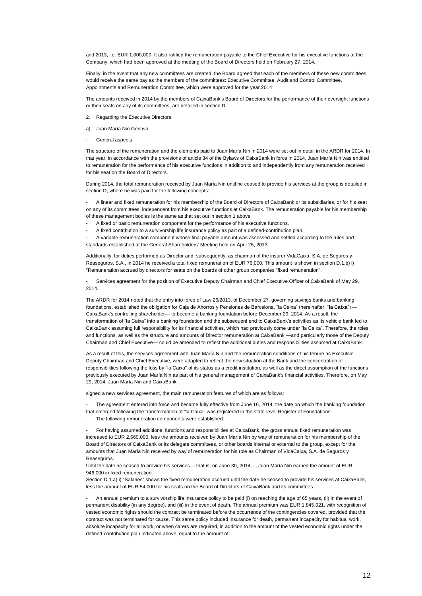and 2013, i.e. EUR 1,000,000. It also ratified the remuneration payable to the Chief Executive for his executive functions at the Company, which had been approved at the meeting of the Board of Directors held on February 27, 2014.

Finally, in the event that any new committees are created, the Board agreed that each of the members of these new committees would receive the same pay as the members of the committees: Executive Committee, Audit and Control Committee, Appointments and Remuneration Committee, which were approved for the year 2014

The amounts received in 2014 by the members of CaixaBank's Board of Directors for the performance of their oversight functions or their seats on any of its committees, are detailed in section D.

- 2. Regarding the Executive Directors.
- a) Juan María Nin Génova:
- General aspects.

The structure of the remuneration and the elements paid to Juan María Nin in 2014 were set out in detail in the ARDR for 2014. In that year, in accordance with the provisions of article 34 of the Bylaws of CaixaBank in force in 2014, Juan María Nin was entitled to remuneration for the performance of his executive functions in addition to and independently from any remuneration received for his seat on the Board of Directors.

During 2014, the total remuneration received by Juan María Nin until he ceased to provide his services at the group is detailed in section D, where he was paid for the following concepts:

- A linear and fixed remuneration for his membership of the Board of Directors of CaixaBank or its subsidiaries, or for his seat on any of its committees, independent from his executive functions at CaixaBank. The remuneration payable for his membership of these management bodies is the same as that set out in section 1 above.

- A fixed or basic remuneration component for the performance of his executive functions.
- A fixed contribution to a survivorship life insurance policy as part of a defined-contribution plan.

- A variable remuneration component whose final payable amount was assessed and settled according to the rules and standards established at the General Shareholders' Meeting held on April 25, 2013.

Additionally, for duties performed as Director and, subsequently, as chairman of the insurer VidaCaixa, S.A. de Seguros y Reaseguros, S.A., in 2014 he received a total fixed remuneration of EUR 76,000. This amount is shown in section D.1.b) i) "Remuneration accrued by directors for seats on the boards of other group companies "fixed remuneration".

- Services agreement for the position of Executive Deputy Chairman and Chief Executive Officer of CaixaBank of May 29, 2014.

The ARDR for 2014 noted that the entry into force of Law 26/2013, of December 27, governing savings banks and banking foundations, established the obligation for Caja de Ahorros y Pensiones de Barcelona, "la Caixa" (hereinafter, "**la Caixa**") — CaixaBank's controlling shareholder— to become a banking foundation before December 29, 2014. As a result, the transformation of "la Caixa" into a banking foundation and the subsequent end to CaixaBank's activities as its vehicle bank led to CaixaBank assuming full responsibility for its financial activities, which had previously come under "la Caixa". Therefore, the roles and functions, as well as the structure and amounts of Director remuneration at CaixaBank —and particularly those of the Deputy Chairman and Chief Executive— could be amended to reflect the additional duties and responsibilities assumed at CaixaBank.

As a result of this, the services agreement with Juan María Nin and the remuneration conditions of his tenure as Executive Deputy Chairman and Chief Executive, were adapted to reflect the new situation at the Bank and the concentration of responsibilities following the loss by "la Caixa" of its status as a credit institution, as well as the direct assumption of the functions previously executed by Juan María Nin as part of his general management of CaixaBank's financial activities. Therefore, on May 29, 2014, Juan María Nin and CaixaBank

signed a new services agreement, the main remuneration features of which are as follows:

The agreement entered into force and became fully effective from June 16, 2014, the date on which the banking foundation that emerged following the transformation of "la Caixa" was registered in the state-level Register of Foundations. The following remuneration components were established:

- For having assumed additional functions and responsibilities at CaixaBank, the gross annual fixed remuneration was increased to EUR 2,660,000, less the amounts received by Juan María Nin by way of remuneration for his membership of the Board of Directors of CaixaBank or its delegate committees, or other boards internal or external to the group, except for the

amounts that Juan María Nin received by way of remuneration for his role as Chairman of VidaCaixa, S.A. de Seguros y Reaseguros. Until the date he ceased to provide his services —that is, on June 30, 2014—, Juan María Nin earned the amount of EUR

946,000 in fixed remuneration.

Section D.1.a) i) "Salaries" shows the fixed remuneration accrued until the date he ceased to provide his services at CaixaBank less the amount of EUR 54,000 for his seats on the Board of Directors of CaixaBank and its committees.

- An annual premium to a survivorship life insurance policy to be paid (i) on reaching the age of 65 years, (ii) in the event of permanent disability (in any degree), and (iii) in the event of death. The annual premium was EUR 1,845,021, with recognition of vested economic rights should the contract be terminated before the occurrence of the contingencies covered, provided that the contract was not terminated for cause. This same policy included insurance for death, permanent incapacity for habitual work, absolute incapacity for all work, or when carers are required, in addition to the amount of the vested economic rights under the defined-contribution plan indicated above, equal to the amount of: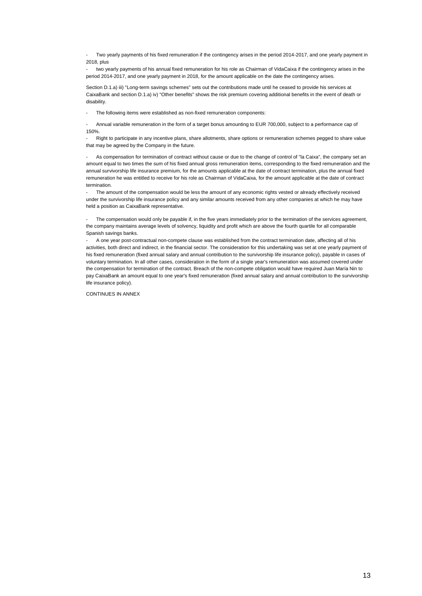Two yearly payments of his fixed remuneration if the contingency arises in the period 2014-2017, and one yearly payment in 2018, plus

two yearly payments of his annual fixed remuneration for his role as Chairman of VidaCaixa if the contingency arises in the period 2014-2017, and one yearly payment in 2018, for the amount applicable on the date the contingency arises.

Section D.1.a) iii) "Long-term savings schemes" sets out the contributions made until he ceased to provide his services at CaixaBank and section D.1.a) iv) "Other benefits" shows the risk premium covering additional benefits in the event of death or disability.

The following items were established as non-fixed remuneration components:

- Annual variable remuneration in the form of a target bonus amounting to EUR 700,000, subject to a performance cap of 150%.

- Right to participate in any incentive plans, share allotments, share options or remuneration schemes pegged to share value that may be agreed by the Company in the future.

As compensation for termination of contract without cause or due to the change of control of "la Caixa", the company set an amount equal to two times the sum of his fixed annual gross remuneration items, corresponding to the fixed remuneration and the annual survivorship life insurance premium, for the amounts applicable at the date of contract termination, plus the annual fixed remuneration he was entitled to receive for his role as Chairman of VidaCaixa, for the amount applicable at the date of contract termination.

The amount of the compensation would be less the amount of any economic rights vested or already effectively received under the survivorship life insurance policy and any similar amounts received from any other companies at which he may have held a position as CaixaBank representative.

The compensation would only be payable if, in the five years immediately prior to the termination of the services agreement, the company maintains average levels of solvency, liquidity and profit which are above the fourth quartile for all comparable Spanish savings banks.

- A one year post-contractual non-compete clause was established from the contract termination date, affecting all of his activities, both direct and indirect, in the financial sector. The consideration for this undertaking was set at one yearly payment of his fixed remuneration (fixed annual salary and annual contribution to the survivorship life insurance policy), payable in cases of voluntary termination. In all other cases, consideration in the form of a single year's remuneration was assumed covered under the compensation for termination of the contract. Breach of the non-compete obligation would have required Juan María Nin to pay CaixaBank an amount equal to one year's fixed remuneration (fixed annual salary and annual contribution to the survivorship life insurance policy).

CONTINUES IN ANNEX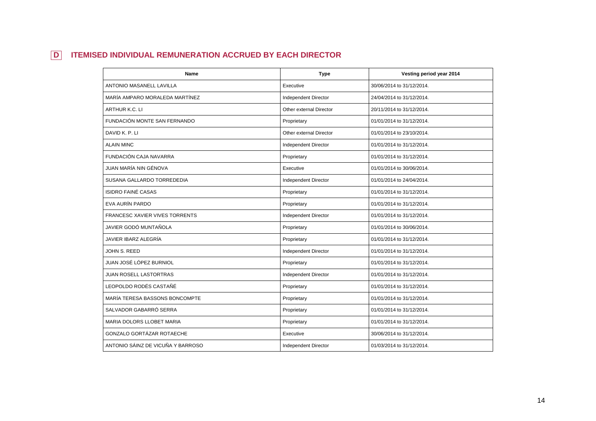## **D ITEMISED INDIVIDUAL REMUNERATION ACCRUED BY EACH DIRECTOR**

| <b>Name</b>                           | <b>Type</b>                 | Vesting period year 2014  |
|---------------------------------------|-----------------------------|---------------------------|
| <b>ANTONIO MASANELL LAVILLA</b>       | Executive                   | 30/06/2014 to 31/12/2014. |
| MARÍA AMPARO MORALEDA MARTÍNEZ        | Independent Director        | 24/04/2014 to 31/12/2014. |
| ARTHUR K.C. LI                        | Other external Director     | 20/11/2014 to 31/12/2014. |
| FUNDACIÓN MONTE SAN FERNANDO          | Proprietary                 | 01/01/2014 to 31/12/2014. |
| DAVID K. P. LI                        | Other external Director     | 01/01/2014 to 23/10/2014. |
| <b>ALAIN MINC</b>                     | Independent Director        | 01/01/2014 to 31/12/2014. |
| <b>FUNDACIÓN CAJA NAVARRA</b>         | Proprietary                 | 01/01/2014 to 31/12/2014. |
| JUAN MARÍA NIN GÉNOVA                 | Executive                   | 01/01/2014 to 30/06/2014. |
| SUSANA GALLARDO TORREDEDIA            | Independent Director        | 01/01/2014 to 24/04/2014. |
| <b>ISIDRO FAINÉ CASAS</b>             | Proprietary                 | 01/01/2014 to 31/12/2014. |
| EVA AURÍN PARDO                       | Proprietary                 | 01/01/2014 to 31/12/2014. |
| <b>FRANCESC XAVIER VIVES TORRENTS</b> | Independent Director        | 01/01/2014 to 31/12/2014. |
| JAVIER GODÓ MUNTAÑOLA                 | Proprietary                 | 01/01/2014 to 30/06/2014. |
| JAVIER IBARZ ALEGRÍA                  | Proprietary                 | 01/01/2014 to 31/12/2014. |
| JOHN S. REED                          | <b>Independent Director</b> | 01/01/2014 to 31/12/2014. |
| JUAN JOSÉ LÓPEZ BURNIOL               | Proprietary                 | 01/01/2014 to 31/12/2014. |
| JUAN ROSELL LASTORTRAS                | Independent Director        | 01/01/2014 to 31/12/2014. |
| LEOPOLDO RODÉS CASTAÑÉ                | Proprietary                 | 01/01/2014 to 31/12/2014. |
| MARÍA TERESA BASSONS BONCOMPTE        | Proprietary                 | 01/01/2014 to 31/12/2014. |
| SALVADOR GABARRÓ SERRA                | Proprietary                 | 01/01/2014 to 31/12/2014. |
| MARIA DOLORS LLOBET MARIA             | Proprietary                 | 01/01/2014 to 31/12/2014. |
| GONZALO GORTÁZAR ROTAECHE             | Executive                   | 30/06/2014 to 31/12/2014. |
| ANTONIO SÁINZ DE VICUÑA Y BARROSO     | Independent Director        | 01/03/2014 to 31/12/2014. |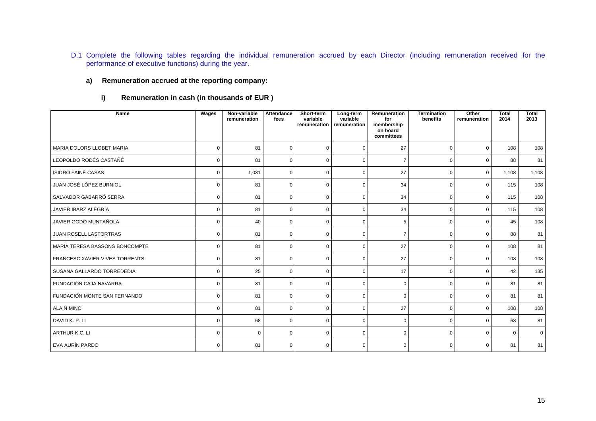D.1 Complete the following tables regarding the individual remuneration accrued by each Director (including remuneration received for the performance of executive functions) during the year.

### **a) Remuneration accrued at the reporting company:**

**i) Remuneration in cash (in thousands of EUR )**

| <b>Name</b>                           | <b>Wages</b> | Non-variable<br>remuneration | Attendance<br>fees | Short-term<br>variable<br>remuneration | Long-term<br>variable<br>remuneration | Remuneration<br>for<br>membership<br>on board | <b>Termination</b><br>benefits | Other<br>remuneration | <b>Total</b><br>2014 | <b>Total</b><br>2013 |
|---------------------------------------|--------------|------------------------------|--------------------|----------------------------------------|---------------------------------------|-----------------------------------------------|--------------------------------|-----------------------|----------------------|----------------------|
|                                       |              |                              |                    |                                        |                                       | committees                                    |                                |                       |                      |                      |
| MARIA DOLORS LLOBET MARIA             | $\mathbf 0$  | 81                           | $\mathbf 0$        | $\mathbf 0$                            | $\mathbf 0$                           | 27                                            | $\mathbf 0$                    | $\mathbf 0$           | 108                  | 108                  |
| LEOPOLDO RODÉS CASTAÑÉ                | $\mathbf 0$  | 81                           | $\mathbf 0$        | $\Omega$                               | $\mathbf 0$                           | $\overline{7}$                                | $\mathbf 0$                    | $\Omega$              | 88                   | 81                   |
| <b>ISIDRO FAINÉ CASAS</b>             | 0            | 1,081                        | $\mathbf 0$        | $\Omega$                               | $\mathbf 0$                           | 27                                            | $\mathbf 0$                    | $\mathbf 0$           | 1.108                | 1,108                |
| JUAN JOSÉ LÓPEZ BURNIOL               | 0            | 81                           | $\mathbf 0$        | $\Omega$                               | 0                                     | 34                                            | 0                              | $\Omega$              | 115                  | 108                  |
| SALVADOR GABARRÓ SERRA                | $\mathbf 0$  | 81                           | $\mathbf 0$        | $\mathbf 0$                            | $\mathbf 0$                           | 34                                            | $\mathbf 0$                    | $\mathbf 0$           | 115                  | 108                  |
| JAVIER IBARZ ALEGRÍA                  | $\mathbf 0$  | 81                           | $\mathbf 0$        | $\Omega$                               | $\Omega$                              | 34                                            | 0                              | $\Omega$              | 115                  | 108                  |
| JAVIER GODÓ MUNTAÑOLA                 | $\mathbf 0$  | 40                           | $\mathbf 0$        | 0                                      | $\mathbf 0$                           | 5                                             | 0                              | $\mathbf 0$           | 45                   | 108                  |
| JUAN ROSELL LASTORTRAS                | $\mathbf 0$  | 81                           | $\mathbf 0$        | $\Omega$                               | $\mathbf 0$                           | $\overline{7}$                                | $\mathbf 0$                    | $\Omega$              | 88                   | 81                   |
| MARÍA TERESA BASSONS BONCOMPTE        | $\mathbf 0$  | 81                           | $\mathbf 0$        | $\mathbf 0$                            | $\mathbf 0$                           | 27                                            | $\mathbf 0$                    | $\mathbf 0$           | 108                  | 81                   |
| <b>FRANCESC XAVIER VIVES TORRENTS</b> | 0            | 81                           | $\mathbf 0$        | $\Omega$                               | $\mathbf 0$                           | 27                                            | 0                              | $\mathbf 0$           | 108                  | 108                  |
| SUSANA GALLARDO TORREDEDIA            | $\mathbf 0$  | 25                           | $\mathbf 0$        | $\Omega$                               | $\mathbf 0$                           | 17                                            | $\mathbf 0$                    | $\mathbf 0$           | 42                   | 135                  |
| FUNDACIÓN CAJA NAVARRA                | $\mathbf 0$  | 81                           | $\mathbf 0$        | $\mathbf 0$                            | $\mathbf 0$                           | $\mathbf 0$                                   | 0                              | $\mathbf 0$           | 81                   | 81                   |
| FUNDACIÓN MONTE SAN FERNANDO          | $\mathbf 0$  | 81                           | $\mathbf 0$        | $\Omega$                               | $\mathbf 0$                           | $\mathbf 0$                                   | $\mathbf 0$                    | $\mathbf 0$           | 81                   | 81                   |
| <b>ALAIN MINC</b>                     | $\mathbf 0$  | 81                           | $\mathbf 0$        | $\Omega$                               | $\mathbf 0$                           | 27                                            | $\mathbf 0$                    | $\Omega$              | 108                  | 108                  |
| DAVID K. P. LI                        | 0            | 68                           | $\mathbf 0$        | $\Omega$                               | $\mathbf 0$                           | $\mathbf 0$                                   | $\mathbf 0$                    | $\Omega$              | 68                   | 81                   |
| ARTHUR K.C. LI                        | $\Omega$     | $\Omega$                     | $\mathbf 0$        | $\Omega$                               | $\mathbf 0$                           | $\mathbf 0$                                   | 0                              | $\Omega$              | $\Omega$             | $\overline{0}$       |
| EVA AURÍN PARDO                       | $\mathbf 0$  | 81                           | $\mathbf 0$        | $\Omega$                               | $\mathbf 0$                           | $\mathbf 0$                                   | $\mathbf 0$                    | $\mathbf 0$           | 81                   | 81                   |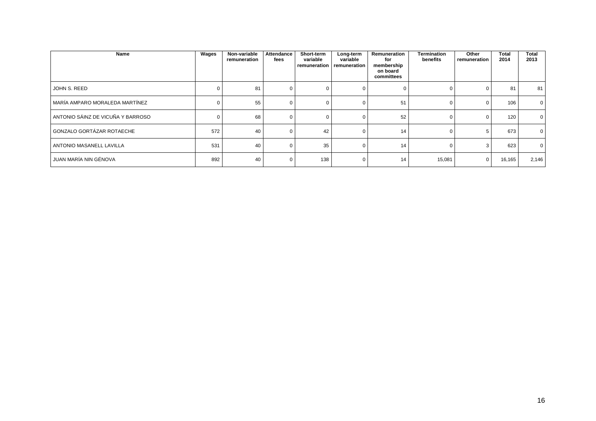| Name                              | Wages | Non-variable<br>remuneration | Attendance<br>fees | Short-term<br>variable | Long-term<br>variable<br>remuneration I remuneration | Remuneration<br>for<br>membership<br>on board<br>committees | Termination<br>benefits | Other<br>remuneration | <b>Total</b><br>2014 | <b>Total</b><br>2013 |
|-----------------------------------|-------|------------------------------|--------------------|------------------------|------------------------------------------------------|-------------------------------------------------------------|-------------------------|-----------------------|----------------------|----------------------|
| JOHN S. REED                      |       | 81                           |                    |                        |                                                      |                                                             |                         |                       | 81                   | 81                   |
| MARÍA AMPARO MORALEDA MARTÍNEZ    |       | 55                           |                    |                        |                                                      | 51                                                          |                         |                       | 106                  | $\mathbf 0$          |
| ANTONIO SÁINZ DE VICUÑA Y BARROSO |       | 68                           |                    |                        |                                                      | 52                                                          |                         |                       | 120                  | 0                    |
| GONZALO GORTÁZAR ROTAECHE         | 572   | 40                           |                    | 42                     |                                                      | 14                                                          |                         |                       | 673                  | $\mathbf{0}$         |
| ANTONIO MASANELL LAVILLA          | 531   | 40                           |                    | 35                     |                                                      | 14                                                          |                         |                       | 623                  | $\mathbf 0$          |
| JUAN MARÍA NIN GÉNOVA             | 892   | 40                           |                    | 138                    | $\Omega$                                             | 14                                                          | 15,081                  | 0                     | 16,165               | 2,146                |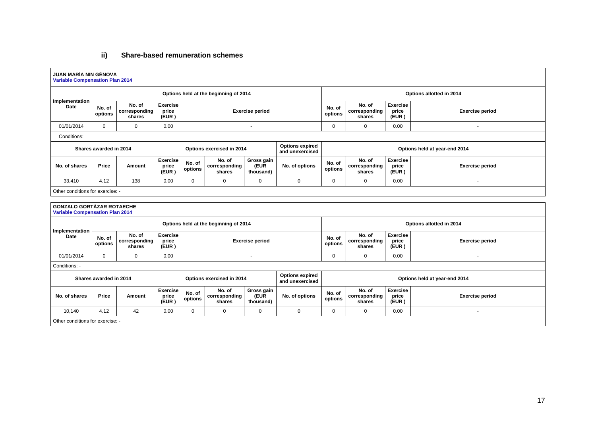## **ii) Share-based remuneration schemes**

| JUAN MARÍA NIN GÉNOVA<br><b>Variable Compensation Plan 2014</b> |                                                     |                                   |                                   |                        |                                       |                                 |                                           |                          |                                   |                                   |                               |
|-----------------------------------------------------------------|-----------------------------------------------------|-----------------------------------|-----------------------------------|------------------------|---------------------------------------|---------------------------------|-------------------------------------------|--------------------------|-----------------------------------|-----------------------------------|-------------------------------|
|                                                                 | Options held at the beginning of 2014               |                                   |                                   |                        |                                       |                                 |                                           |                          |                                   |                                   | Options allotted in 2014      |
| Implementation<br>Date                                          | No. of<br>options                                   | No. of<br>corresponding<br>shares | <b>Exercise</b><br>price<br>(EUR) |                        |                                       | <b>Exercise period</b>          |                                           | No. of<br>options        | No. of<br>corresponding<br>shares | <b>Exercise</b><br>price<br>(EUR) | <b>Exercise period</b>        |
| 01/01/2014                                                      | $\Omega$                                            | $\mathbf 0$                       | 0.00                              |                        |                                       | $\blacksquare$                  |                                           | $\mathbf 0$              | $\mathbf 0$                       | 0.00                              | $\blacksquare$                |
| Conditions:                                                     |                                                     |                                   |                                   |                        |                                       |                                 |                                           |                          |                                   |                                   |                               |
|                                                                 | Shares awarded in 2014                              |                                   |                                   |                        | Options exercised in 2014             |                                 | <b>Options expired</b><br>and unexercised |                          |                                   |                                   | Options held at year-end 2014 |
| No. of shares                                                   | Price                                               | Amount                            | <b>Exercise</b><br>price<br>(EUR) | No. of<br>options      | No. of<br>corresponding<br>shares     | Gross gain<br>(EUR<br>thousand) | No. of options                            | No. of<br>options        | No. of<br>corresponding<br>shares | <b>Exercise</b><br>price<br>(EUR) | <b>Exercise period</b>        |
| 33,410                                                          | 4.12                                                | 138                               | 0.00                              | $\Omega$               | $\mathbf 0$                           | 0                               | $\Omega$                                  | $\mathbf 0$              | $\Omega$                          | 0.00                              | $\sim$                        |
| Other conditions for exercise: -                                |                                                     |                                   |                                   |                        |                                       |                                 |                                           |                          |                                   |                                   |                               |
| <b>GONZALO GORTÁZAR ROTAECHE</b>                                |                                                     |                                   |                                   |                        |                                       |                                 |                                           |                          |                                   |                                   |                               |
| <b>Variable Compensation Plan 2014</b>                          |                                                     |                                   |                                   |                        |                                       |                                 |                                           |                          |                                   |                                   |                               |
|                                                                 |                                                     |                                   |                                   |                        | Options held at the beginning of 2014 |                                 |                                           | Options allotted in 2014 |                                   |                                   |                               |
| Implementation<br>Date                                          | No. of<br>options                                   | No. of<br>corresponding<br>shares | <b>Exercise</b><br>price<br>(EUR) | <b>Exercise period</b> |                                       |                                 |                                           | No. of<br>options        | No. of<br>corresponding<br>shares | <b>Exercise</b><br>price<br>(EUR) | <b>Exercise period</b>        |
| 01/01/2014                                                      | $\Omega$                                            | $\Omega$                          | 0.00                              |                        |                                       | $\overline{a}$                  |                                           | $\Omega$                 | $\Omega$                          | 0.00                              | $\sim$                        |
| Conditions: -                                                   |                                                     |                                   |                                   |                        |                                       |                                 |                                           |                          |                                   |                                   |                               |
|                                                                 | Options exercised in 2014<br>Shares awarded in 2014 |                                   |                                   |                        |                                       |                                 | <b>Options expired</b><br>and unexercised |                          |                                   |                                   | Options held at year-end 2014 |
| No. of shares                                                   | Price                                               | Amount                            | <b>Exercise</b><br>price<br>(EUR) | No. of<br>options      | No. of<br>corresponding<br>shares     | Gross gain<br>(EUR<br>thousand) | No. of options                            | No. of<br>options        | No. of<br>corresponding<br>shares | Exercise<br>price<br>(EUR)        | <b>Exercise period</b>        |
| 10,140                                                          | 4.12                                                | 42                                | 0.00                              | $\Omega$               | $\mathbf 0$                           | 0                               | $\Omega$                                  | $\Omega$                 | $\Omega$                          | 0.00                              | $\sim$                        |
| Other conditions for exercise: -                                |                                                     |                                   |                                   |                        |                                       |                                 |                                           |                          |                                   |                                   |                               |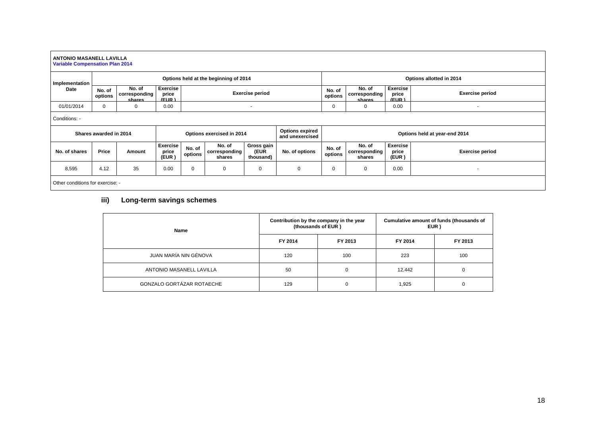#### **ANTONIO MASANELL LAVILLA Variable Compensation Plan 2014 Implementation Date Options held at the beginning of 2014 Options allotted in 2014 No. of options No. of corresponding shares Exercise price (EUR ) Exercise period No. of options No. of corresponding shares Exercise price (EUR ) Exercise period** 01/01/2014 0 0 0.00 0.00 - - 0 0.00 0 0.00 - 0.00 - 0.00 0 - 0.00 0 - 0.00 0 - 0.00 0 - 0.00 0 - 0.00 0 - 0.00 0 - 0 Conditions: - **Shares awarded in 2014 Options exercised in 2014 Options expired and unexercised Options held at year-end 2014 No. of shares Price Amount Exercise price (EUR ) No. of options No. of corresponding shares Gross gain (EUR thousand) No. of options No. of options No. of corresponding shares Exercise price (EUR ) Exercise period** 8,595 4.12 35 0.00 0 0 0 0 0 0 0.00 - Other conditions for exercise: -

### **iii) Long-term savings schemes**

| Name                      | (thousands of EUR) | Contribution by the company in the year | Cumulative amount of funds (thousands of<br>EUR) |         |  |
|---------------------------|--------------------|-----------------------------------------|--------------------------------------------------|---------|--|
|                           | FY 2014            | FY 2013                                 | FY 2014                                          | FY 2013 |  |
| JUAN MARÍA NIN GÉNOVA     | 120                | 100                                     | 223                                              | 100     |  |
| ANTONIO MASANELL LAVILLA  | 50                 | 0                                       | 12,442                                           | 0       |  |
| GONZALO GORTÁZAR ROTAECHE | 129                | 0                                       | 1,925                                            |         |  |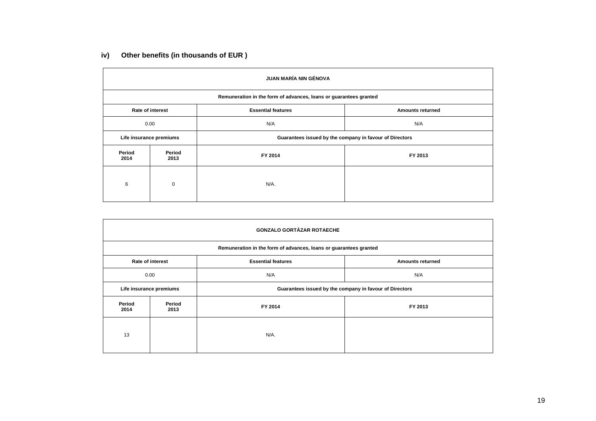## **iv) Other benefits (in thousands of EUR )**

| <b>JUAN MARÍA NIN GÉNOVA</b> |                                                                   |                                                         |                         |  |  |  |  |  |  |
|------------------------------|-------------------------------------------------------------------|---------------------------------------------------------|-------------------------|--|--|--|--|--|--|
|                              | Remuneration in the form of advances, loans or guarantees granted |                                                         |                         |  |  |  |  |  |  |
|                              | <b>Rate of interest</b>                                           | <b>Essential features</b>                               | <b>Amounts returned</b> |  |  |  |  |  |  |
|                              | 0.00                                                              | N/A                                                     | N/A                     |  |  |  |  |  |  |
| Life insurance premiums      |                                                                   | Guarantees issued by the company in favour of Directors |                         |  |  |  |  |  |  |
| Period<br>2014               | Period<br>2013                                                    | FY 2014                                                 | FY 2013                 |  |  |  |  |  |  |
| 6                            | $\mathbf 0$                                                       | N/A.                                                    |                         |  |  |  |  |  |  |

| <b>GONZALO GORTÁZAR ROTAECHE</b> |                                                                   |                                                         |                         |  |  |  |  |  |  |  |
|----------------------------------|-------------------------------------------------------------------|---------------------------------------------------------|-------------------------|--|--|--|--|--|--|--|
|                                  | Remuneration in the form of advances, loans or guarantees granted |                                                         |                         |  |  |  |  |  |  |  |
|                                  | <b>Rate of interest</b>                                           | <b>Essential features</b>                               | <b>Amounts returned</b> |  |  |  |  |  |  |  |
|                                  | 0.00                                                              | N/A                                                     | N/A                     |  |  |  |  |  |  |  |
|                                  | Life insurance premiums                                           | Guarantees issued by the company in favour of Directors |                         |  |  |  |  |  |  |  |
| Period<br>2014                   | Period<br>2013                                                    | FY 2014                                                 | FY 2013                 |  |  |  |  |  |  |  |
| 13                               |                                                                   | N/A.                                                    |                         |  |  |  |  |  |  |  |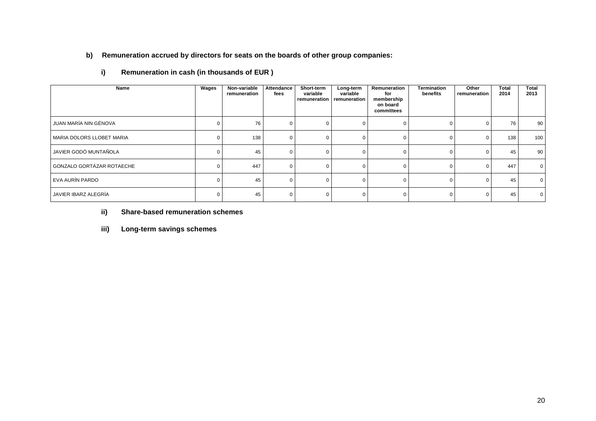### **b) Remuneration accrued by directors for seats on the boards of other group companies:**

| Name                      | Wages | Non-variable<br>remuneration | Attendance<br>fees | Short-term<br>variable | Long-term<br>variable<br>remuneration remuneration | Remuneration<br>for<br>membership<br>on board<br>committees | Termination<br>benefits | Other<br>remuneration | Total<br>2014 | <b>Total</b><br>2013 |
|---------------------------|-------|------------------------------|--------------------|------------------------|----------------------------------------------------|-------------------------------------------------------------|-------------------------|-----------------------|---------------|----------------------|
| JUAN MARÍA NIN GÉNOVA     |       | 76                           |                    |                        |                                                    | $\Omega$                                                    | $\Omega$                |                       | 76            | 90                   |
| MARIA DOLORS LLOBET MARIA |       | 138                          |                    |                        |                                                    | $\Omega$                                                    | $\Omega$                | $\Omega$              | 138           | 100                  |
| JAVIER GODÓ MUNTAÑOLA     |       | 45                           |                    |                        |                                                    | 0                                                           | 0                       | 0                     | 45            | 90                   |
| GONZALO GORTÁZAR ROTAECHE |       | 447                          |                    |                        |                                                    | $\Omega$                                                    | $\Omega$                | $\Omega$              | 447           | $\overline{0}$       |
| EVA AURÍN PARDO           |       | 45                           |                    |                        |                                                    | $\Omega$                                                    | $\Omega$                | ∩                     | 45            | $\overline{0}$       |
| JAVIER IBARZ ALEGRÍA      |       | 45                           |                    |                        |                                                    | 0                                                           | $\Omega$                | $\Omega$              | 45            | $\overline{0}$       |

**i) Remuneration in cash (in thousands of EUR )**

**ii) Share-based remuneration schemes**

**iii) Long-term savings schemes**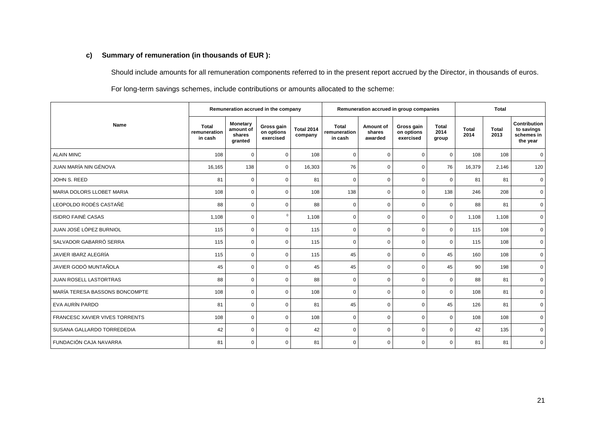### **c) Summary of remuneration (in thousands of EUR ):**

Should include amounts for all remuneration components referred to in the present report accrued by the Director, in thousands of euros.

For long-term savings schemes, include contributions or amounts allocated to the scheme:

|                                | Remuneration accrued in the company     |                                                   |                                       |                              | Remuneration accrued in group companies |                                |                                       |                               | <b>Total</b>         |                      |                                                      |
|--------------------------------|-----------------------------------------|---------------------------------------------------|---------------------------------------|------------------------------|-----------------------------------------|--------------------------------|---------------------------------------|-------------------------------|----------------------|----------------------|------------------------------------------------------|
| <b>Name</b>                    | <b>Total</b><br>remuneration<br>in cash | <b>Monetary</b><br>amount of<br>shares<br>granted | Gross gain<br>on options<br>exercised | <b>Total 2014</b><br>company | <b>Total</b><br>remuneration<br>in cash | Amount of<br>shares<br>awarded | Gross gain<br>on options<br>exercised | <b>Total</b><br>2014<br>group | <b>Total</b><br>2014 | <b>Total</b><br>2013 | Contribution<br>to savings<br>schemes in<br>the year |
| <b>ALAIN MINC</b>              | 108                                     | $\mathbf 0$                                       | $\Omega$                              | 108                          | $\mathbf 0$                             | $\mathbf 0$                    | $\mathbf 0$                           | $\mathbf 0$                   | 108                  | 108                  | $\mathbf 0$                                          |
| JUAN MARÍA NIN GÉNOVA          | 16,165                                  | 138                                               | 0                                     | 16,303                       | 76                                      | $\mathbf 0$                    | $\mathbf 0$                           | 76                            | 16,379               | 2,146                | 120                                                  |
| JOHN S. REED                   | 81                                      | $\mathbf 0$                                       | 0                                     | 81                           | 0                                       | $\mathbf 0$                    | $\mathbf 0$                           | $\mathbf 0$                   | 81                   | 81                   | $\mathbf 0$                                          |
| MARIA DOLORS LLOBET MARIA      | 108                                     | $\mathbf 0$                                       | $\Omega$                              | 108                          | 138                                     | $\mathbf 0$                    | $\mathbf 0$                           | 138                           | 246                  | 208                  | $\mathbf 0$                                          |
| LEOPOLDO RODÉS CASTAÑÉ         | 88                                      | $\mathbf 0$                                       | $\Omega$                              | 88                           | 0                                       | 0                              | $\mathbf 0$                           | $\mathbf 0$                   | 88                   | 81                   | $\mathbf 0$                                          |
| <b>ISIDRO FAINÉ CASAS</b>      | 1,108                                   | $\mathbf 0$                                       | $\Omega$                              | 1,108                        | 0                                       | $\mathbf 0$                    | $\mathbf 0$                           | $\mathbf 0$                   | 1,108                | 1,108                | $\mathbf 0$                                          |
| JUAN JOSÉ LÓPEZ BURNIOL        | 115                                     | $\mathbf 0$                                       | $\Omega$                              | 115                          | $\Omega$                                | $\mathbf 0$                    | $\Omega$                              | $\mathbf 0$                   | 115                  | 108                  | $\mathbf 0$                                          |
| SALVADOR GABARRÓ SERRA         | 115                                     | $\mathbf 0$                                       | $\Omega$                              | 115                          | 0                                       | $\mathbf 0$                    | $\mathbf 0$                           | $\mathbf 0$                   | 115                  | 108                  | $\mathbf{0}$                                         |
| JAVIER IBARZ ALEGRÍA           | 115                                     | $\mathbf 0$                                       | $\Omega$                              | 115                          | 45                                      | 0                              | $\Omega$                              | 45                            | 160                  | 108                  | $\mathbf 0$                                          |
| JAVIER GODÓ MUNTAÑOLA          | 45                                      | $\mathbf 0$                                       | $\Omega$                              | 45                           | 45                                      | $\mathbf 0$                    | $\mathbf 0$                           | 45                            | 90                   | 198                  | $\mathbf 0$                                          |
| <b>JUAN ROSELL LASTORTRAS</b>  | 88                                      | $\mathbf 0$                                       | $\Omega$                              | 88                           | $\Omega$                                | 0                              | $\mathbf 0$                           | $\mathbf 0$                   | 88                   | 81                   | $\mathbf{0}$                                         |
| MARÍA TERESA BASSONS BONCOMPTE | 108                                     | $\mathbf 0$                                       | $\Omega$                              | 108                          | $\Omega$                                | $\mathbf 0$                    | $\Omega$                              | $\mathbf 0$                   | 108                  | 81                   | $\mathbf 0$                                          |
| EVA AURÍN PARDO                | 81                                      | $\mathbf 0$                                       | $\Omega$                              | 81                           | 45                                      | $\mathbf 0$                    | $\mathbf 0$                           | 45                            | 126                  | 81                   | $\mathbf 0$                                          |
| FRANCESC XAVIER VIVES TORRENTS | 108                                     | $\mathbf 0$                                       | $\Omega$                              | 108                          | 0                                       | 0                              | $\mathbf 0$                           | $\mathbf 0$                   | 108                  | 108                  | $\mathbf{0}$                                         |
| SUSANA GALLARDO TORREDEDIA     | 42                                      | $\mathbf 0$                                       | $\Omega$                              | 42                           | $\Omega$                                | $\mathbf 0$                    | $\mathbf 0$                           | $\mathbf 0$                   | 42                   | 135                  | $\mathbf 0$                                          |
| <b>FUNDACIÓN CAJA NAVARRA</b>  | 81                                      | $\mathbf 0$                                       | $\Omega$                              | 81                           | 0                                       | 0                              | $\mathbf 0$                           | $\mathbf 0$                   | 81                   | 81                   | $\mathbf 0$                                          |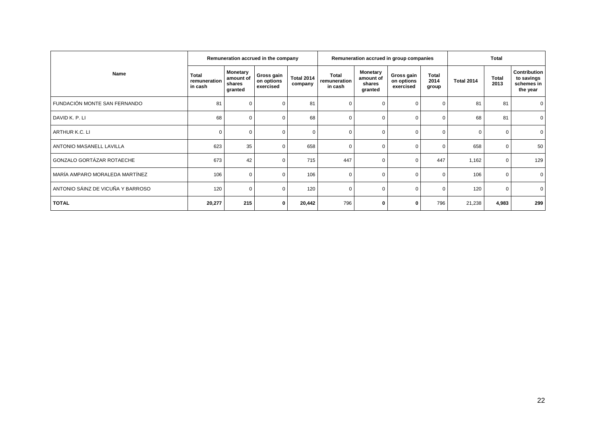|                                   | Remuneration accrued in the company     |                                                   |                                       |                              | Remuneration accrued in group companies |                                                   |                                       |                               | <b>Total</b> |               |                                                      |
|-----------------------------------|-----------------------------------------|---------------------------------------------------|---------------------------------------|------------------------------|-----------------------------------------|---------------------------------------------------|---------------------------------------|-------------------------------|--------------|---------------|------------------------------------------------------|
| Name                              | <b>Total</b><br>remuneration<br>in cash | <b>Monetary</b><br>amount of<br>shares<br>granted | Gross gain<br>on options<br>exercised | <b>Total 2014</b><br>company | Total<br>remuneration<br>in cash        | <b>Monetary</b><br>amount of<br>shares<br>granted | Gross gain<br>on options<br>exercised | <b>Total</b><br>2014<br>group | Total 2014   | Total<br>2013 | Contribution<br>to savings<br>schemes in<br>the year |
| FUNDACIÓN MONTE SAN FERNANDO      | 81                                      | $\mathbf 0$                                       |                                       | 81                           | $\Omega$                                | $\Omega$                                          | O                                     | 0                             | 81           | 81            | 0                                                    |
| DAVID K. P. LI                    | 68                                      | $\mathbf 0$                                       |                                       | 68                           | 0                                       | 0                                                 | $\Omega$                              | 0                             | 68           | 81            | 0                                                    |
| ARTHUR K.C. LI                    | $\Omega$                                | $\mathbf 0$                                       |                                       | $\Omega$                     | $\Omega$                                | $\Omega$                                          | $\Omega$                              | $\Omega$                      |              | $\Omega$      | $\mathbf 0$                                          |
| ANTONIO MASANELL LAVILLA          | 623                                     | 35                                                |                                       | 658                          | $\Omega$                                | $\Omega$                                          |                                       | 0                             | 658          | $\Omega$      | 50                                                   |
| GONZALO GORTÁZAR ROTAECHE         | 673                                     | 42                                                |                                       | 715                          | 447                                     | $\Omega$                                          | $\Omega$                              | 447                           | 1,162        | $\Omega$      | 129                                                  |
| MARÍA AMPARO MORALEDA MARTÍNEZ    | 106                                     | $\mathbf 0$                                       |                                       | 106                          | $\Omega$                                | $\Omega$                                          | $\Omega$                              | 0                             | 106          | $\Omega$      | $\mathbf 0$                                          |
| ANTONIO SÁINZ DE VICUÑA Y BARROSO | 120                                     | $\mathbf{0}$                                      |                                       | 120                          | $\Omega$                                | 0                                                 |                                       | 0                             | 120          | $\mathbf 0$   | 0                                                    |
| <b>TOTAL</b>                      | 20,277                                  | 215                                               | 0                                     | 20,442                       | 796                                     | $\bf{0}$                                          | 0                                     | 796                           | 21,238       | 4,983         | 299                                                  |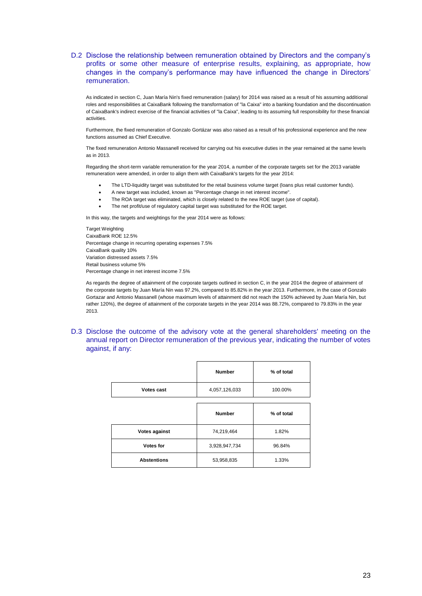#### D.2 Disclose the relationship between remuneration obtained by Directors and the company's profits or some other measure of enterprise results, explaining, as appropriate, how changes in the company's performance may have influenced the change in Directors' remuneration.

As indicated in section C, Juan María Nin's fixed remuneration (salary) for 2014 was raised as a result of his assuming additional roles and responsibilities at CaixaBank following the transformation of "la Caixa" into a banking foundation and the discontinuation of CaixaBank's indirect exercise of the financial activities of "la Caixa", leading to its assuming full responsibility for these financial activities.

Furthermore, the fixed remuneration of Gonzalo Gortázar was also raised as a result of his professional experience and the new functions assumed as Chief Executive.

The fixed remuneration Antonio Massanell received for carrying out his executive duties in the year remained at the same levels as in 2013.

Regarding the short-term variable remuneration for the year 2014, a number of the corporate targets set for the 2013 variable remuneration were amended, in order to align them with CaixaBank's targets for the year 2014:

- The LTD-liquidity target was substituted for the retail business volume target (loans plus retail customer funds).
- A new target was included, known as "Percentage change in net interest income".
- The ROA target was eliminated, which is closely related to the new ROE target (use of capital).
- The net profit/use of regulatory capital target was substituted for the ROE target.

In this way, the targets and weightings for the year 2014 were as follows:

Target Weighting CaixaBank ROE 12.5% Percentage change in recurring operating expenses 7.5% CaixaBank quality 10% Variation distressed assets 7.5% Retail business volume 5% Percentage change in net interest income 7.5%

As regards the degree of attainment of the corporate targets outlined in section C, in the year 2014 the degree of attainment of the corporate targets by Juan María Nin was 97.2%, compared to 85.82% in the year 2013. Furthermore, in the case of Gonzalo Gortazar and Antonio Massanell (whose maximum levels of attainment did not reach the 150% achieved by Juan María Nin, but rather 120%), the degree of attainment of the corporate targets in the year 2014 was 88.72%, compared to 79.83% in the year 2013.

D.3 Disclose the outcome of the advisory vote at the general shareholders' meeting on the annual report on Director remuneration of the previous year, indicating the number of votes against, if any:

|                    | <b>Number</b> | % of total |
|--------------------|---------------|------------|
| Votes cast         | 4,057,126,033 | 100.00%    |
|                    |               |            |
|                    | <b>Number</b> | % of total |
| Votes against      | 74,219,464    | 1.82%      |
| Votes for          | 3,928,947,734 | 96.84%     |
| <b>Abstentions</b> | 53,958,835    | 1.33%      |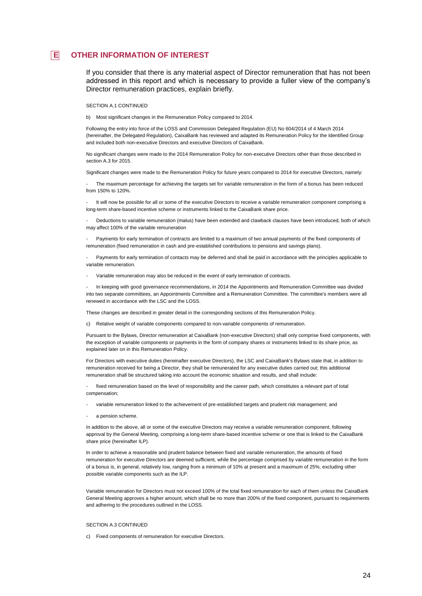### **E OTHER INFORMATION OF INTEREST**

If you consider that there is any material aspect of Director remuneration that has not been addressed in this report and which is necessary to provide a fuller view of the company's Director remuneration practices, explain briefly.

#### SECTION A.1 CONTINUED

b) Most significant changes in the Remuneration Policy compared to 2014.

Following the entry into force of the LOSS and Commission Delegated Regulation (EU) No 604/2014 of 4 March 2014 (hereinafter, the Delegated Regulation), CaixaBank has reviewed and adapted its Remuneration Policy for the Identified Group and included both non-executive Directors and executive Directors of CaixaBank.

No significant changes were made to the 2014 Remuneration Policy for non-executive Directors other than those described in section A.3 for 2015.

Significant changes were made to the Remuneration Policy for future years compared to 2014 for executive Directors, namely:

The maximum percentage for achieving the targets set for variable remuneration in the form of a bonus has been reduced from 150% to 120%.

It will now be possible for all or some of the executive Directors to receive a variable remuneration component comprising a long-term share-based incentive scheme or instruments linked to the CaixaBank share price.

- Deductions to variable remuneration (malus) have been extended and clawback clauses have been introduced, both of which may affect 100% of the variable remuneration

Payments for early termination of contracts are limited to a maximum of two annual payments of the fixed components of remuneration (fixed remuneration in cash and pre-established contributions to pensions and savings plans).

Payments for early termination of contacts may be deferred and shall be paid in accordance with the principles applicable to variable remuneration.

Variable remuneration may also be reduced in the event of early termination of contracts.

- In keeping with good governance recommendations, in 2014 the Appointments and Remuneration Committee was divided into two separate committees, an Appointments Committee and a Remuneration Committee. The committee's members were all renewed in accordance with the LSC and the LOSS.

These changes are described in greater detail in the corresponding sections of this Remuneration Policy.

c) Relative weight of variable components compared to non-variable components of remuneration.

Pursuant to the Bylaws, Director remuneration at CaixaBank (non-executive Directors) shall only comprise fixed components, with the exception of variable components or payments in the form of company shares or instruments linked to its share price, as explained later on in this Remuneration Policy.

For Directors with executive duties (hereinafter executive Directors), the LSC and CaixaBank's Bylaws state that, in addition to remuneration received for being a Director, they shall be remunerated for any executive duties carried out; this additional remuneration shall be structured taking into account the economic situation and results, and shall include:

fixed remuneration based on the level of responsibility and the career path, which constitutes a relevant part of total compensation;

- variable remuneration linked to the achievement of pre-established targets and prudent risk management; and
- a pension scheme.

In addition to the above, all or some of the executive Directors may receive a variable remuneration component, following approval by the General Meeting, comprising a long-term share-based incentive scheme or one that is linked to the CaixaBank share price (hereinafter ILP).

In order to achieve a reasonable and prudent balance between fixed and variable remuneration, the amounts of fixed remuneration for executive Directors are deemed sufficient, while the percentage comprised by variable remuneration in the form of a bonus is, in general, relatively low, ranging from a minimum of 10% at present and a maximum of 25%, excluding other possible variable components such as the ILP.

Variable remuneration for Directors must not exceed 100% of the total fixed remuneration for each of them unless the CaixaBank General Meeting approves a higher amount, which shall be no more than 200% of the fixed component, pursuant to requirements and adhering to the procedures outlined in the LOSS.

#### SECTION A.3 CONTINUED

c) Fixed components of remuneration for executive Directors.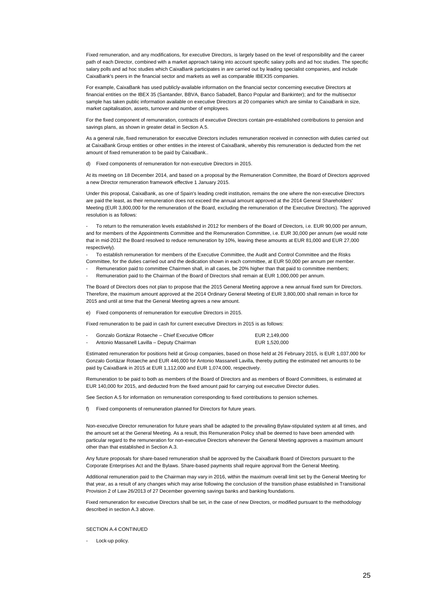Fixed remuneration, and any modifications, for executive Directors, is largely based on the level of responsibility and the career path of each Director, combined with a market approach taking into account specific salary polls and ad hoc studies. The specific salary polls and ad hoc studies which CaixaBank participates in are carried out by leading specialist companies, and include CaixaBank's peers in the financial sector and markets as well as comparable IBEX35 companies.

For example, CaixaBank has used publicly-available information on the financial sector concerning executive Directors at financial entities on the IBEX 35 (Santander, BBVA, Banco Sabadell, Banco Popular and Bankinter); and for the multisector sample has taken public information available on executive Directors at 20 companies which are similar to CaixaBank in size, market capitalisation, assets, turnover and number of employees.

For the fixed component of remuneration, contracts of executive Directors contain pre-established contributions to pension and savings plans, as shown in greater detail in Section A.5.

As a general rule, fixed remuneration for executive Directors includes remuneration received in connection with duties carried out at CaixaBank Group entities or other entities in the interest of CaixaBank, whereby this remuneration is deducted from the net amount of fixed remuneration to be paid by CaixaBank..

d) Fixed components of remuneration for non-executive Directors in 2015.

At its meeting on 18 December 2014, and based on a proposal by the Remuneration Committee, the Board of Directors approved a new Director remuneration framework effective 1 January 2015.

Under this proposal, CaixaBank, as one of Spain's leading credit institution, remains the one where the non-executive Directors are paid the least, as their remuneration does not exceed the annual amount approved at the 2014 General Shareholders' Meeting (EUR 3,800,000 for the remuneration of the Board, excluding the remuneration of the Executive Directors). The approved resolution is as follows:

To return to the remuneration levels established in 2012 for members of the Board of Directors, i.e. EUR 90,000 per annum, and for members of the Appointments Committee and the Remuneration Committee, i.e. EUR 30,000 per annum (we would note that in mid-2012 the Board resolved to reduce remuneration by 10%, leaving these amounts at EUR 81,000 and EUR 27,000 respectively).

- To establish remuneration for members of the Executive Committee, the Audit and Control Committee and the Risks Committee, for the duties carried out and the dedication shown in each committee, at EUR 50,000 per annum per member.

- Remuneration paid to committee Chairmen shall, in all cases, be 20% higher than that paid to committee members;
- Remuneration paid to the Chairman of the Board of Directors shall remain at EUR 1,000,000 per annum.

The Board of Directors does not plan to propose that the 2015 General Meeting approve a new annual fixed sum for Directors. Therefore, the maximum amount approved at the 2014 Ordinary General Meeting of EUR 3,800,000 shall remain in force for 2015 and until at time that the General Meeting agrees a new amount.

e) Fixed components of remuneration for executive Directors in 2015.

Fixed remuneration to be paid in cash for current executive Directors in 2015 is as follows:

| Gonzalo Gortázar Rotaeche – Chief Executive Officer | EUR 2,149,000 |
|-----------------------------------------------------|---------------|
| Antonio Massanell Lavilla - Deputy Chairman         | EUR 1,520,000 |

Estimated remuneration for positions held at Group companies, based on those held at 26 February 2015, is EUR 1,037,000 for Gonzalo Gortázar Rotaeche and EUR 446,000 for Antonio Massanell Lavilla, thereby putting the estimated net amounts to be paid by CaixaBank in 2015 at EUR 1,112,000 and EUR 1,074,000, respectively.

Remuneration to be paid to both as members of the Board of Directors and as members of Board Committees, is estimated at EUR 140,000 for 2015, and deducted from the fixed amount paid for carrying out executive Director duties.

See Section A.5 for information on remuneration corresponding to fixed contributions to pension schemes.

f) Fixed components of remuneration planned for Directors for future years.

Non-executive Director remuneration for future years shall be adapted to the prevailing Bylaw-stipulated system at all times, and the amount set at the General Meeting. As a result, this Remuneration Policy shall be deemed to have been amended with particular regard to the remuneration for non-executive Directors whenever the General Meeting approves a maximum amount other than that established in Section A.3.

Any future proposals for share-based remuneration shall be approved by the CaixaBank Board of Directors pursuant to the Corporate Enterprises Act and the Bylaws. Share-based payments shall require approval from the General Meeting.

Additional remuneration paid to the Chairman may vary in 2016, within the maximum overall limit set by the General Meeting for that year, as a result of any changes which may arise following the conclusion of the transition phase established in Transitional Provision 2 of Law 26/2013 of 27 December governing savings banks and banking foundations.

Fixed remuneration for executive Directors shall be set, in the case of new Directors, or modified pursuant to the methodology described in section A.3 above.

#### SECTION A 4 CONTINUED

Lock-up policy.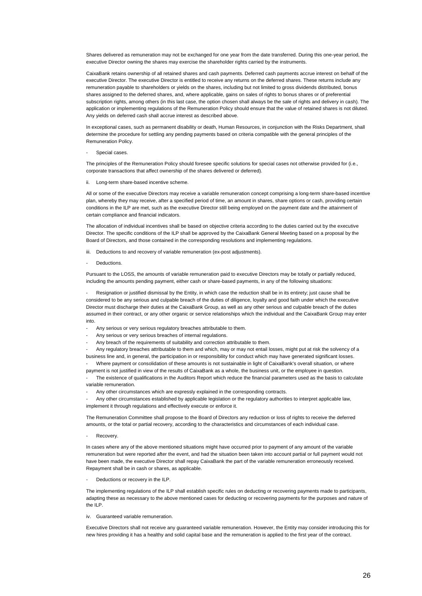Shares delivered as remuneration may not be exchanged for one year from the date transferred. During this one-year period, the executive Director owning the shares may exercise the shareholder rights carried by the instruments.

CaixaBank retains ownership of all retained shares and cash payments. Deferred cash payments accrue interest on behalf of the executive Director. The executive Director is entitled to receive any returns on the deferred shares. These returns include any remuneration payable to shareholders or yields on the shares, including but not limited to gross dividends distributed, bonus shares assigned to the deferred shares, and, where applicable, gains on sales of rights to bonus shares or of preferential subscription rights, among others (in this last case, the option chosen shall always be the sale of rights and delivery in cash). The application or implementing regulations of the Remuneration Policy should ensure that the value of retained shares is not diluted. Any yields on deferred cash shall accrue interest as described above.

In exceptional cases, such as permanent disability or death, Human Resources, in conjunction with the Risks Department, shall determine the procedure for settling any pending payments based on criteria compatible with the general principles of the Remuneration Policy.

#### Special cases.

The principles of the Remuneration Policy should foresee specific solutions for special cases not otherwise provided for (i.e., corporate transactions that affect ownership of the shares delivered or deferred).

Long-term share-based incentive scheme.

All or some of the executive Directors may receive a variable remuneration concept comprising a long-term share-based incentive plan, whereby they may receive, after a specified period of time, an amount in shares, share options or cash, providing certain conditions in the ILP are met, such as the executive Director still being employed on the payment date and the attainment of certain compliance and financial indicators.

The allocation of individual incentives shall be based on objective criteria according to the duties carried out by the executive Director. The specific conditions of the ILP shall be approved by the CaixaBank General Meeting based on a proposal by the Board of Directors, and those contained in the corresponding resolutions and implementing regulations.

- iii. Deductions to and recovery of variable remuneration (ex-post adjustments).
- **Deductions**

Pursuant to the LOSS, the amounts of variable remuneration paid to executive Directors may be totally or partially reduced, including the amounts pending payment, either cash or share-based payments, in any of the following situations:

Resignation or justified dismissal by the Entity, in which case the reduction shall be in its entirety; just cause shall be considered to be any serious and culpable breach of the duties of diligence, loyalty and good faith under which the executive Director must discharge their duties at the CaixaBank Group, as well as any other serious and culpable breach of the duties assumed in their contract, or any other organic or service relationships which the individual and the CaixaBank Group may enter into.

- Any serious or very serious regulatory breaches attributable to them.
- Any serious or very serious breaches of internal regulations.
- Any breach of the requirements of suitability and correction attributable to them.

- Any regulatory breaches attributable to them and which, may or may not entail losses, might put at risk the solvency of a business line and, in general, the participation in or responsibility for conduct which may have generated significant losses.

Where payment or consolidation of these amounts is not sustainable in light of CaixaBank's overall situation, or where payment is not justified in view of the results of CaixaBank as a whole, the business unit, or the employee in question.

The existence of qualifications in the Auditors Report which reduce the financial parameters used as the basis to calculate variable remuneration.

- Any other circumstances which are expressly explained in the corresponding contracts.

- Any other circumstances established by applicable legislation or the regulatory authorities to interpret applicable law, implement it through regulations and effectively execute or enforce it.

The Remuneration Committee shall propose to the Board of Directors any reduction or loss of rights to receive the deferred amounts, or the total or partial recovery, according to the characteristics and circumstances of each individual case.

- Recovery.

In cases where any of the above mentioned situations might have occurred prior to payment of any amount of the variable remuneration but were reported after the event, and had the situation been taken into account partial or full payment would not have been made, the executive Director shall repay CaixaBank the part of the variable remuneration erroneously received. Repayment shall be in cash or shares, as applicable.

Deductions or recovery in the ILP.

The implementing regulations of the ILP shall establish specific rules on deducting or recovering payments made to participants, adapting these as necessary to the above mentioned cases for deducting or recovering payments for the purposes and nature of the ILP.

iv. Guaranteed variable remuneration.

Executive Directors shall not receive any guaranteed variable remuneration. However, the Entity may consider introducing this for new hires providing it has a healthy and solid capital base and the remuneration is applied to the first year of the contract.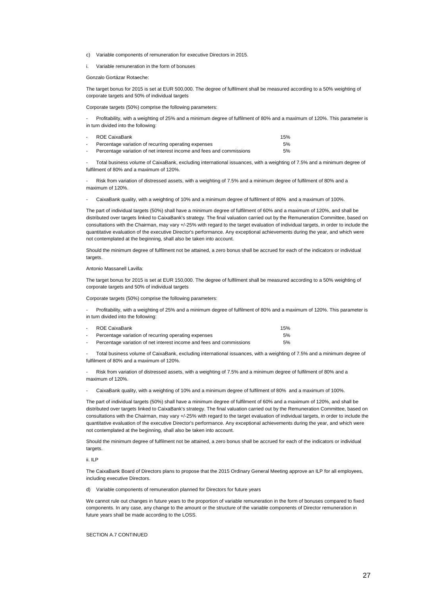- c) Variable components of remuneration for executive Directors in 2015.
- i. Variable remuneration in the form of bonuses

Gonzalo Gortázar Rotaeche:

The target bonus for 2015 is set at EUR 500,000. The degree of fulfilment shall be measured according to a 50% weighting of corporate targets and 50% of individual targets

Corporate targets (50%) comprise the following parameters:

- Profitability, with a weighting of 25% and a minimum degree of fulfilment of 80% and a maximum of 120%. This parameter is in turn divided into the following:

| ROE CaixaBank                                                        | 15% |
|----------------------------------------------------------------------|-----|
| Percentage variation of recurring operating expenses                 | 5%  |
| Percentage variation of net interest income and fees and commissions | 5%  |

- Total business volume of CaixaBank, excluding international issuances, with a weighting of 7.5% and a minimum degree of fulfilment of 80% and a maximum of 120%.

- Risk from variation of distressed assets, with a weighting of 7.5% and a minimum degree of fulfilment of 80% and a maximum of 120%.

- CaixaBank quality, with a weighting of 10% and a minimum degree of fulfilment of 80% and a maximum of 100%.

The part of individual targets (50%) shall have a minimum degree of fulfilment of 60% and a maximum of 120%, and shall be distributed over targets linked to CaixaBank's strategy. The final valuation carried out by the Remuneration Committee, based on consultations with the Chairman, may vary +/-25% with regard to the target evaluation of individual targets, in order to include the quantitative evaluation of the executive Director's performance. Any exceptional achievements during the year, and which were not contemplated at the beginning, shall also be taken into account.

Should the minimum degree of fulfilment not be attained, a zero bonus shall be accrued for each of the indicators or individual targets.

Antonio Massanell Lavilla:

The target bonus for 2015 is set at EUR 150,000. The degree of fulfilment shall be measured according to a 50% weighting of corporate targets and 50% of individual targets

Corporate targets (50%) comprise the following parameters:

- Profitability, with a weighting of 25% and a minimum degree of fulfilment of 80% and a maximum of 120%. This parameter is in turn divided into the following:

| . . | ROE CaixaBank                                                        | 15% |
|-----|----------------------------------------------------------------------|-----|
|     | Percentage variation of recurring operating expenses                 | 5%  |
|     | Percentage variation of net interest income and fees and commissions | 5%  |

- Total business volume of CaixaBank, excluding international issuances, with a weighting of 7.5% and a minimum degree of fulfilment of 80% and a maximum of 120%.

- Risk from variation of distressed assets, with a weighting of 7.5% and a minimum degree of fulfilment of 80% and a maximum of 120%.

- CaixaBank quality, with a weighting of 10% and a minimum degree of fulfilment of 80% and a maximum of 100%.

The part of individual targets (50%) shall have a minimum degree of fulfilment of 60% and a maximum of 120%, and shall be distributed over targets linked to CaixaBank's strategy. The final valuation carried out by the Remuneration Committee, based on consultations with the Chairman, may vary +/-25% with regard to the target evaluation of individual targets, in order to include the quantitative evaluation of the executive Director's performance. Any exceptional achievements during the year, and which were not contemplated at the beginning, shall also be taken into account.

Should the minimum degree of fulfilment not be attained, a zero bonus shall be accrued for each of the indicators or individual targets

ii. ILP

The CaixaBank Board of Directors plans to propose that the 2015 Ordinary General Meeting approve an ILP for all employees, including executive Directors.

d) Variable components of remuneration planned for Directors for future years

We cannot rule out changes in future years to the proportion of variable remuneration in the form of bonuses compared to fixed components. In any case, any change to the amount or the structure of the variable components of Director remuneration in future years shall be made according to the LOSS.

SECTION A 7 CONTINUED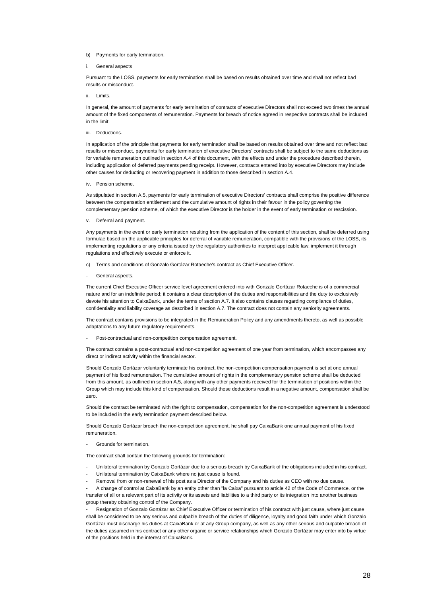#### b) Payments for early termination.

#### i. General aspects

Pursuant to the LOSS, payments for early termination shall be based on results obtained over time and shall not reflect bad results or misconduct.

#### ii. Limits.

In general, the amount of payments for early termination of contracts of executive Directors shall not exceed two times the annual amount of the fixed components of remuneration. Payments for breach of notice agreed in respective contracts shall be included in the limit.

#### iii. Deductions.

In application of the principle that payments for early termination shall be based on results obtained over time and not reflect bad results or misconduct, payments for early termination of executive Directors' contracts shall be subject to the same deductions as for variable remuneration outlined in section A.4 of this document, with the effects and under the procedure described therein, including application of deferred payments pending receipt. However, contracts entered into by executive Directors may include other causes for deducting or recovering payment in addition to those described in section A.4.

iv. Pension scheme.

As stipulated in section A.5, payments for early termination of executive Directors' contracts shall comprise the positive difference between the compensation entitlement and the cumulative amount of rights in their favour in the policy governing the complementary pension scheme, of which the executive Director is the holder in the event of early termination or rescission.

v. Deferral and payment.

Any payments in the event or early termination resulting from the application of the content of this section, shall be deferred using formulae based on the applicable principles for deferral of variable remuneration, compatible with the provisions of the LOSS, its implementing regulations or any criteria issued by the regulatory authorities to interpret applicable law, implement it through regulations and effectively execute or enforce it.

- c) Terms and conditions of Gonzalo Gortázar Rotaeche's contract as Chief Executive Officer.
- General aspects.

The current Chief Executive Officer service level agreement entered into with Gonzalo Gortázar Rotaeche is of a commercial nature and for an indefinite period; it contains a clear description of the duties and responsibilities and the duty to exclusively devote his attention to CaixaBank, under the terms of section A.7. It also contains clauses regarding compliance of duties, confidentiality and liability coverage as described in section A.7. The contract does not contain any seniority agreements.

The contract contains provisions to be integrated in the Remuneration Policy and any amendments thereto, as well as possible adaptations to any future regulatory requirements.

- Post-contractual and non-competition compensation agreement.

The contract contains a post-contractual and non-competition agreement of one year from termination, which encompasses any direct or indirect activity within the financial sector.

Should Gonzalo Gortázar voluntarily terminate his contract, the non-competition compensation payment is set at one annual payment of his fixed remuneration. The cumulative amount of rights in the complementary pension scheme shall be deducted from this amount, as outlined in section A.5, along with any other payments received for the termination of positions within the Group which may include this kind of compensation. Should these deductions result in a negative amount, compensation shall be zero.

Should the contract be terminated with the right to compensation, compensation for the non-competition agreement is understood to be included in the early termination payment described below.

Should Gonzalo Gortázar breach the non-competition agreement, he shall pay CaixaBank one annual payment of his fixed remuneration.

- Grounds for termination.

The contract shall contain the following grounds for termination:

- Unilateral termination by Gonzalo Gortázar due to a serious breach by CaixaBank of the obligations included in his contract.
- Unilateral termination by CaixaBank where no just cause is found.
- Removal from or non-renewal of his post as a Director of the Company and his duties as CEO with no due cause.

- A change of control at CaixaBank by an entity other than "la Caixa" pursuant to article 42 of the Code of Commerce, or the transfer of all or a relevant part of its activity or its assets and liabilities to a third party or its integration into another business group thereby obtaining control of the Company.

Resignation of Gonzalo Gortázar as Chief Executive Officer or termination of his contract with just cause, where just cause shall be considered to be any serious and culpable breach of the duties of diligence, loyalty and good faith under which Gonzalo Gortázar must discharge his duties at CaixaBank or at any Group company, as well as any other serious and culpable breach of the duties assumed in his contract or any other organic or service relationships which Gonzalo Gortázar may enter into by virtue of the positions held in the interest of CaixaBank.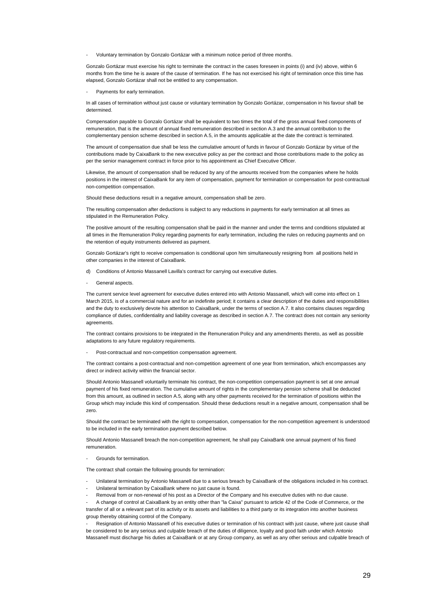Voluntary termination by Gonzalo Gortázar with a minimum notice period of three months.

Gonzalo Gortázar must exercise his right to terminate the contract in the cases foreseen in points (i) and (iv) above, within 6 months from the time he is aware of the cause of termination. If he has not exercised his right of termination once this time has elapsed, Gonzalo Gortázar shall not be entitled to any compensation.

Payments for early termination.

In all cases of termination without just cause or voluntary termination by Gonzalo Gortázar, compensation in his favour shall be determined.

Compensation payable to Gonzalo Gortázar shall be equivalent to two times the total of the gross annual fixed components of remuneration, that is the amount of annual fixed remuneration described in section A.3 and the annual contribution to the complementary pension scheme described in section A.5, in the amounts applicable at the date the contract is terminated.

The amount of compensation due shall be less the cumulative amount of funds in favour of Gonzalo Gortázar by virtue of the contributions made by CaixaBank to the new executive policy as per the contract and those contributions made to the policy as per the senior management contract in force prior to his appointment as Chief Executive Officer.

Likewise, the amount of compensation shall be reduced by any of the amounts received from the companies where he holds positions in the interest of CaixaBank for any item of compensation, payment for termination or compensation for post-contractual non-competition compensation.

Should these deductions result in a negative amount, compensation shall be zero.

The resulting compensation after deductions is subject to any reductions in payments for early termination at all times as stipulated in the Remuneration Policy.

The positive amount of the resulting compensation shall be paid in the manner and under the terms and conditions stipulated at all times in the Remuneration Policy regarding payments for early termination, including the rules on reducing payments and on the retention of equity instruments delivered as payment.

Gonzalo Gortázar's right to receive compensation is conditional upon him simultaneously resigning from all positions held in other companies in the interest of CaixaBank.

- d) Conditions of Antonio Massanell Lavilla's contract for carrying out executive duties.
- General aspects

The current service level agreement for executive duties entered into with Antonio Massanell, which will come into effect on 1 March 2015, is of a commercial nature and for an indefinite period; it contains a clear description of the duties and responsibilities and the duty to exclusively devote his attention to CaixaBank, under the terms of section A.7. It also contains clauses regarding compliance of duties, confidentiality and liability coverage as described in section A.7. The contract does not contain any seniority agreements.

The contract contains provisions to be integrated in the Remuneration Policy and any amendments thereto, as well as possible adaptations to any future regulatory requirements.

- Post-contractual and non-competition compensation agreement.

The contract contains a post-contractual and non-competition agreement of one year from termination, which encompasses any direct or indirect activity within the financial sector.

Should Antonio Massanell voluntarily terminate his contract, the non-competition compensation payment is set at one annual payment of his fixed remuneration. The cumulative amount of rights in the complementary pension scheme shall be deducted from this amount, as outlined in section A.5, along with any other payments received for the termination of positions within the Group which may include this kind of compensation. Should these deductions result in a negative amount, compensation shall be zero.

Should the contract be terminated with the right to compensation, compensation for the non-competition agreement is understood to be included in the early termination payment described below.

Should Antonio Massanell breach the non-competition agreement, he shall pay CaixaBank one annual payment of his fixed remuneration.

Grounds for termination.

The contract shall contain the following grounds for termination:

- Unilateral termination by Antonio Massanell due to a serious breach by CaixaBank of the obligations included in his contract.
- Unilateral termination by CaixaBank where no just cause is found.
- Removal from or non-renewal of his post as a Director of the Company and his executive duties with no due cause.

- A change of control at CaixaBank by an entity other than "la Caixa" pursuant to article 42 of the Code of Commerce, or the transfer of all or a relevant part of its activity or its assets and liabilities to a third party or its integration into another business group thereby obtaining control of the Company.

- Resignation of Antonio Massanell of his executive duties or termination of his contract with just cause, where just cause shall be considered to be any serious and culpable breach of the duties of diligence, loyalty and good faith under which Antonio Massanell must discharge his duties at CaixaBank or at any Group company, as well as any other serious and culpable breach of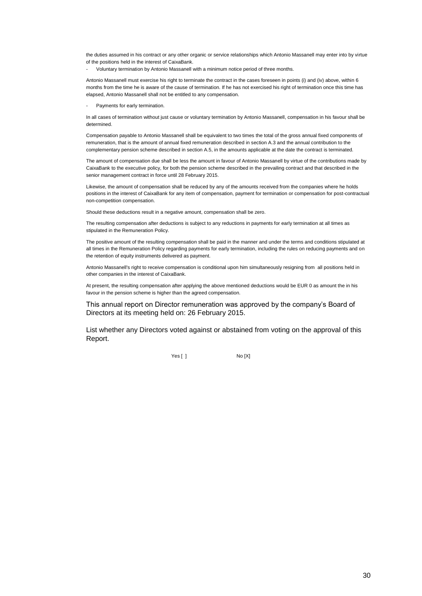the duties assumed in his contract or any other organic or service relationships which Antonio Massanell may enter into by virtue of the positions held in the interest of CaixaBank.

- Voluntary termination by Antonio Massanell with a minimum notice period of three months.

Antonio Massanell must exercise his right to terminate the contract in the cases foreseen in points (i) and (iv) above, within 6 months from the time he is aware of the cause of termination. If he has not exercised his right of termination once this time has elapsed, Antonio Massanell shall not be entitled to any compensation.

Payments for early termination.

In all cases of termination without just cause or voluntary termination by Antonio Massanell, compensation in his favour shall be determined.

Compensation payable to Antonio Massanell shall be equivalent to two times the total of the gross annual fixed components of remuneration, that is the amount of annual fixed remuneration described in section A.3 and the annual contribution to the complementary pension scheme described in section A.5, in the amounts applicable at the date the contract is terminated.

The amount of compensation due shall be less the amount in favour of Antonio Massanell by virtue of the contributions made by CaixaBank to the executive policy, for both the pension scheme described in the prevailing contract and that described in the senior management contract in force until 28 February 2015.

Likewise, the amount of compensation shall be reduced by any of the amounts received from the companies where he holds positions in the interest of CaixaBank for any item of compensation, payment for termination or compensation for post-contractual non-competition compensation.

Should these deductions result in a negative amount, compensation shall be zero.

The resulting compensation after deductions is subject to any reductions in payments for early termination at all times as stipulated in the Remuneration Policy.

The positive amount of the resulting compensation shall be paid in the manner and under the terms and conditions stipulated at all times in the Remuneration Policy regarding payments for early termination, including the rules on reducing payments and on the retention of equity instruments delivered as payment.

Antonio Massanell's right to receive compensation is conditional upon him simultaneously resigning from all positions held in other companies in the interest of CaixaBank.

At present, the resulting compensation after applying the above mentioned deductions would be EUR 0 as amount the in his favour in the pension scheme is higher than the agreed compensation.

This annual report on Director remuneration was approved by the company's Board of Directors at its meeting held on: 26 February 2015.

List whether any Directors voted against or abstained from voting on the approval of this Report.

Yes [ ] No [X]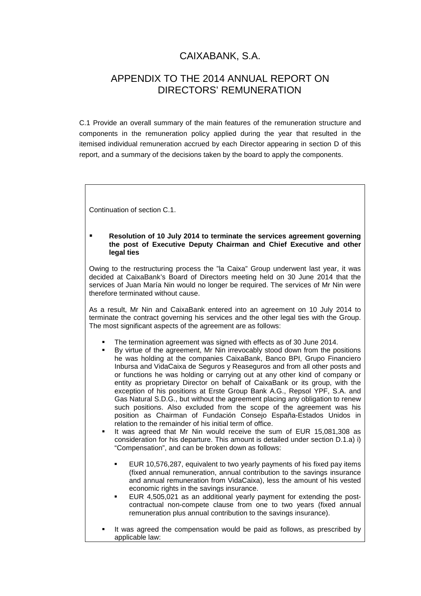# CAIXABANK, S.A.

## APPENDIX TO THE 2014 ANNUAL REPORT ON DIRECTORS' REMUNERATION

C.1 Provide an overall summary of the main features of the remuneration structure and components in the remuneration policy applied during the year that resulted in the itemised individual remuneration accrued by each Director appearing in section D of this report, and a summary of the decisions taken by the board to apply the components.

Continuation of section C.1.

#### **Resolution of 10 July 2014 to terminate the services agreement governing the post of Executive Deputy Chairman and Chief Executive and other legal ties**

Owing to the restructuring process the "la Caixa" Group underwent last year, it was decided at CaixaBank's Board of Directors meeting held on 30 June 2014 that the services of Juan María Nin would no longer be required. The services of Mr Nin were therefore terminated without cause.

As a result, Mr Nin and CaixaBank entered into an agreement on 10 July 2014 to terminate the contract governing his services and the other legal ties with the Group. The most significant aspects of the agreement are as follows:

- The termination agreement was signed with effects as of 30 June 2014.
- By virtue of the agreement, Mr Nin irrevocably stood down from the positions he was holding at the companies CaixaBank, Banco BPI, Grupo Financiero Inbursa and VidaCaixa de Seguros y Reaseguros and from all other posts and or functions he was holding or carrying out at any other kind of company or entity as proprietary Director on behalf of CaixaBank or its group, with the exception of his positions at Erste Group Bank A.G., Repsol YPF, S.A. and Gas Natural S.D.G., but without the agreement placing any obligation to renew such positions. Also excluded from the scope of the agreement was his position as Chairman of Fundación Consejo España-Estados Unidos in relation to the remainder of his initial term of office.
- It was agreed that Mr Nin would receive the sum of EUR 15,081,308 as consideration for his departure. This amount is detailed under section D.1.a) i) "Compensation", and can be broken down as follows:
	- EUR 10,576,287, equivalent to two yearly payments of his fixed pay items (fixed annual remuneration, annual contribution to the savings insurance and annual remuneration from VidaCaixa), less the amount of his vested economic rights in the savings insurance.
	- EUR 4,505,021 as an additional yearly payment for extending the postcontractual non-compete clause from one to two years (fixed annual remuneration plus annual contribution to the savings insurance).
- It was agreed the compensation would be paid as follows, as prescribed by applicable law: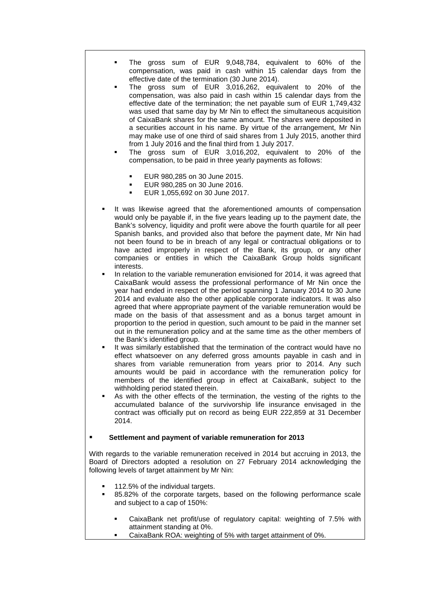- The gross sum of EUR 9,048,784, equivalent to 60% of the compensation, was paid in cash within 15 calendar days from the effective date of the termination (30 June 2014).
- The gross sum of EUR 3,016,262, equivalent to 20% of the compensation, was also paid in cash within 15 calendar days from the effective date of the termination; the net payable sum of EUR 1,749,432 was used that same day by Mr Nin to effect the simultaneous acquisition of CaixaBank shares for the same amount. The shares were deposited in a securities account in his name. By virtue of the arrangement, Mr Nin may make use of one third of said shares from 1 July 2015, another third from 1 July 2016 and the final third from 1 July 2017.
- The gross sum of EUR 3,016,202, equivalent to 20% of the compensation, to be paid in three yearly payments as follows:
	- EUR 980,285 on 30 June 2015.
	- EUR 980,285 on 30 June 2016.
	- EUR 1,055,692 on 30 June 2017.
- It was likewise agreed that the aforementioned amounts of compensation would only be payable if, in the five years leading up to the payment date, the Bank's solvency, liquidity and profit were above the fourth quartile for all peer Spanish banks, and provided also that before the payment date, Mr Nin had not been found to be in breach of any legal or contractual obligations or to have acted improperly in respect of the Bank, its group, or any other companies or entities in which the CaixaBank Group holds significant interests.
- In relation to the variable remuneration envisioned for 2014, it was agreed that CaixaBank would assess the professional performance of Mr Nin once the year had ended in respect of the period spanning 1 January 2014 to 30 June 2014 and evaluate also the other applicable corporate indicators. It was also agreed that where appropriate payment of the variable remuneration would be made on the basis of that assessment and as a bonus target amount in proportion to the period in question, such amount to be paid in the manner set out in the remuneration policy and at the same time as the other members of the Bank's identified group.
- It was similarly established that the termination of the contract would have no effect whatsoever on any deferred gross amounts payable in cash and in shares from variable remuneration from years prior to 2014. Any such amounts would be paid in accordance with the remuneration policy for members of the identified group in effect at CaixaBank, subject to the withholding period stated therein.
- As with the other effects of the termination, the vesting of the rights to the accumulated balance of the survivorship life insurance envisaged in the contract was officially put on record as being EUR 222,859 at 31 December 2014.

#### **Settlement and payment of variable remuneration for 2013**

With regards to the variable remuneration received in 2014 but accruing in 2013, the Board of Directors adopted a resolution on 27 February 2014 acknowledging the following levels of target attainment by Mr Nin:

- 112.5% of the individual targets.
- 85.82% of the corporate targets, based on the following performance scale and subject to a cap of 150%:
	- CaixaBank net profit/use of regulatory capital: weighting of 7.5% with attainment standing at 0%.
	- CaixaBank ROA: weighting of 5% with target attainment of 0%.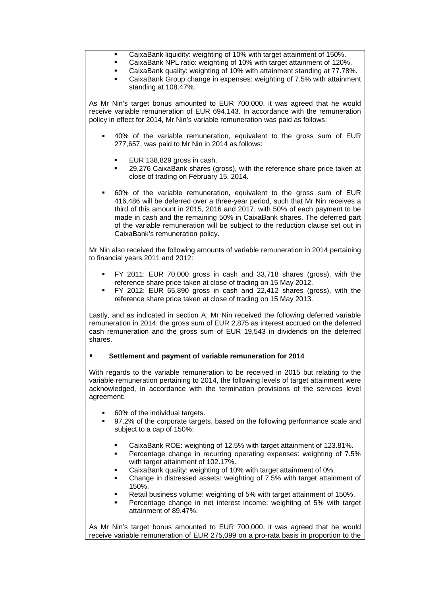- CaixaBank liquidity: weighting of 10% with target attainment of 150%.
- CaixaBank NPL ratio: weighting of 10% with target attainment of 120%.
- CaixaBank quality: weighting of 10% with attainment standing at 77.78%.
- CaixaBank Group change in expenses: weighting of 7.5% with attainment standing at 108.47%.

As Mr Nin's target bonus amounted to EUR 700,000, it was agreed that he would receive variable remuneration of EUR 694,143. In accordance with the remuneration policy in effect for 2014, Mr Nin's variable remuneration was paid as follows:

- 40% of the variable remuneration, equivalent to the gross sum of EUR 277,657, was paid to Mr Nin in 2014 as follows:
	- EUR 138,829 gross in cash.
	- 29,276 CaixaBank shares (gross), with the reference share price taken at close of trading on February 15, 2014.
- 60% of the variable remuneration, equivalent to the gross sum of EUR 416,486 will be deferred over a three-year period, such that Mr Nin receives a third of this amount in 2015, 2016 and 2017, with 50% of each payment to be made in cash and the remaining 50% in CaixaBank shares. The deferred part of the variable remuneration will be subject to the reduction clause set out in CaixaBank's remuneration policy.

10. Mr Nin also received the following amounts of variable remuneration in 2014 pertaining to financial years 2011 and 2012:

- FY 2011: EUR 70,000 gross in cash and 33,718 shares (gross), with the reference share price taken at close of trading on 15 May 2012.
- FY 2012: EUR 65,890 gross in cash and 22,412 shares (gross), with the reference share price taken at close of trading on 15 May 2013.

Lastly, and as indicated in section A, Mr Nin received the following deferred variable remuneration in 2014: the gross sum of EUR 2,875 as interest accrued on the deferred cash remuneration and the gross sum of EUR 19,543 in dividends on the deferred shares.

### **Settlement and payment of variable remuneration for 2014**

With regards to the variable remuneration to be received in 2015 but relating to the variable remuneration pertaining to 2014, the following levels of target attainment were acknowledged, in accordance with the termination provisions of the services level agreement:

60% of the individual targets.

11.

12.

15.

16.

- 97.2% of the corporate targets, based on the following performance scale and subject to a cap of 150%:
	- CaixaBank ROE: weighting of 12.5% with target attainment of 123.81%.
	- Percentage change in recurring operating expenses: weighting of 7.5% with target attainment of 102.17%.
	- CaixaBank quality: weighting of 10% with target attainment of 0%.
	- Change in distressed assets: weighting of 7.5% with target attainment of 150%.
	- Retail business volume: weighting of 5% with target attainment of 150%.
	- Percentage change in net interest income: weighting of 5% with target attainment of 89.47%.

As Mr Nin's target bonus amounted to EUR 700,000, it was agreed that he would receive variable remuneration of EUR 275,099 on a pro-rata basis in proportion to the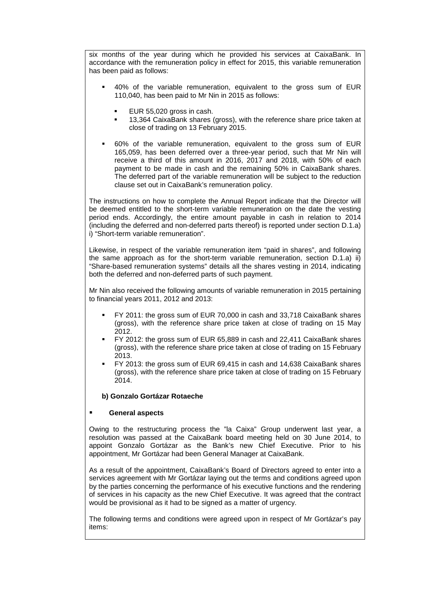six months of the year during which he provided his services at CaixaBank. In accordance with the remuneration policy in effect for 2015, this variable remuneration has been paid as follows:

- 40% of the variable remuneration, equivalent to the gross sum of EUR 110,040, has been paid to Mr Nin in 2015 as follows:
	- EUR 55,020 gross in cash.

18.

19.

21.

23.

25.

26.

- 13,364 CaixaBank shares (gross), with the reference share price taken at close of trading on 13 February 2015.
- 60% of the variable remuneration, equivalent to the gross sum of EUR 165,059, has been deferred over a three-year period, such that Mr Nin will receive a third of this amount in 2016, 2017 and 2018, with 50% of each payment to be made in cash and the remaining 50% in CaixaBank shares. The deferred part of the variable remuneration will be subject to the reduction clause set out in CaixaBank's remuneration policy.

The instructions on how to complete the Annual Report indicate that the Director will be deemed entitled to the short-term variable remuneration on the date the vesting period ends. Accordingly, the entire amount payable in cash in relation to 2014 (including the deferred and non-deferred parts thereof) is reported under section D.1.a) i) "Short-term variable remuneration".

Likewise, in respect of the variable remuneration item "paid in shares", and following the same approach as for the short-term variable remuneration, section D.1.a) ii) "Share-based remuneration systems" details all the shares vesting in 2014, indicating both the deferred and non-deferred parts of such payment.

24. Mr Nin also received the following amounts of variable remuneration in 2015 pertaining to financial years 2011, 2012 and 2013:

- FY 2011: the gross sum of EUR 70,000 in cash and 33,718 CaixaBank shares (gross), with the reference share price taken at close of trading on 15 May 2012.
- FY 2012: the gross sum of EUR 65,889 in cash and 22,411 CaixaBank shares (gross), with the reference share price taken at close of trading on 15 February 2013.
- FY 2013: the gross sum of EUR 69,415 in cash and 14,638 CaixaBank shares (gross), with the reference share price taken at close of trading on 15 February 2014.

### **b) Gonzalo Gortázar Rotaeche**

### **General aspects**

Owing to the restructuring process the "la Caixa" Group underwent last year, a resolution was passed at the CaixaBank board meeting held on 30 June 2014, to appoint Gonzalo Gortázar as the Bank's new Chief Executive. Prior to his appointment, Mr Gortázar had been General Manager at CaixaBank.

As a result of the appointment, CaixaBank's Board of Directors agreed to enter into a services agreement with Mr Gortázar laying out the terms and conditions agreed upon by the parties concerning the performance of his executive functions and the rendering of services in his capacity as the new Chief Executive. It was agreed that the contract would be provisional as it had to be signed as a matter of urgency.

The following terms and conditions were agreed upon in respect of Mr Gortázar's pay items: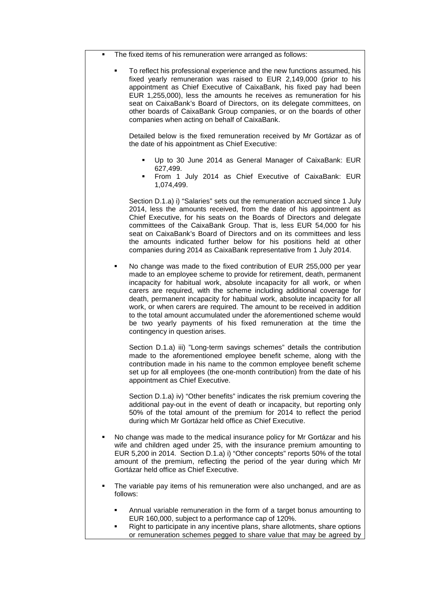The fixed items of his remuneration were arranged as follows:

 To reflect his professional experience and the new functions assumed, his fixed yearly remuneration was raised to EUR 2,149,000 (prior to his appointment as Chief Executive of CaixaBank, his fixed pay had been EUR 1,255,000), less the amounts he receives as remuneration for his seat on CaixaBank's Board of Directors, on its delegate committees, on other boards of CaixaBank Group companies, or on the boards of other companies when acting on behalf of CaixaBank.

Detailed below is the fixed remuneration received by Mr Gortázar as of the date of his appointment as Chief Executive:

- Up to 30 June 2014 as General Manager of CaixaBank: EUR 627,499.
- From 1 July 2014 as Chief Executive of CaixaBank: EUR 1,074,499.

Section D.1.a) i) "Salaries" sets out the remuneration accrued since 1 July 2014, less the amounts received, from the date of his appointment as Chief Executive, for his seats on the Boards of Directors and delegate committees of the CaixaBank Group. That is, less EUR 54,000 for his seat on CaixaBank's Board of Directors and on its committees and less the amounts indicated further below for his positions held at other companies during 2014 as CaixaBank representative from 1 July 2014.

 No change was made to the fixed contribution of EUR 255,000 per year made to an employee scheme to provide for retirement, death, permanent incapacity for habitual work, absolute incapacity for all work, or when carers are required, with the scheme including additional coverage for death, permanent incapacity for habitual work, absolute incapacity for all work, or when carers are required. The amount to be received in addition to the total amount accumulated under the aforementioned scheme would be two yearly payments of his fixed remuneration at the time the contingency in question arises.

Section D.1.a) iii) "Long-term savings schemes" details the contribution made to the aforementioned employee benefit scheme, along with the contribution made in his name to the common employee benefit scheme set up for all employees (the one-month contribution) from the date of his appointment as Chief Executive.

Section D.1.a) iv) "Other benefits" indicates the risk premium covering the additional pay-out in the event of death or incapacity, but reporting only 50% of the total amount of the premium for 2014 to reflect the period during which Mr Gortázar held office as Chief Executive.

- No change was made to the medical insurance policy for Mr Gortázar and his wife and children aged under 25, with the insurance premium amounting to EUR 5,200 in 2014. Section D.1.a) i) "Other concepts" reports 50% of the total amount of the premium, reflecting the period of the year during which Mr Gortázar held office as Chief Executive.
- The variable pay items of his remuneration were also unchanged, and are as follows:
	- Annual variable remuneration in the form of a target bonus amounting to EUR 160,000, subject to a performance cap of 120%.
	- Right to participate in any incentive plans, share allotments, share options or remuneration schemes pegged to share value that may be agreed by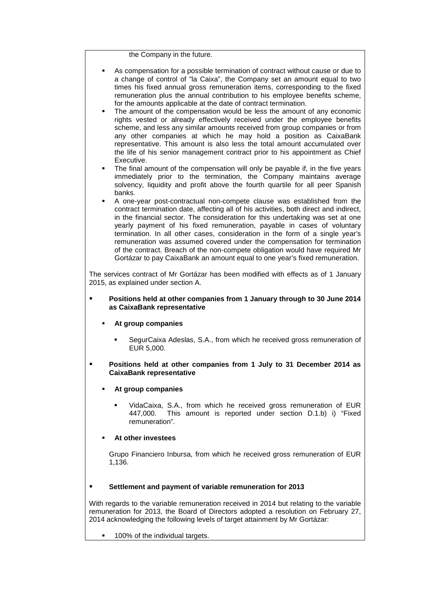the Company in the future.

- As compensation for a possible termination of contract without cause or due to a change of control of "la Caixa", the Company set an amount equal to two times his fixed annual gross remuneration items, corresponding to the fixed remuneration plus the annual contribution to his employee benefits scheme, for the amounts applicable at the date of contract termination.
- The amount of the compensation would be less the amount of any economic rights vested or already effectively received under the employee benefits scheme, and less any similar amounts received from group companies or from any other companies at which he may hold a position as CaixaBank representative. This amount is also less the total amount accumulated over the life of his senior management contract prior to his appointment as Chief Executive.
- The final amount of the compensation will only be payable if, in the five years immediately prior to the termination, the Company maintains average solvency, liquidity and profit above the fourth quartile for all peer Spanish banks.
- A one-year post-contractual non-compete clause was established from the contract termination date, affecting all of his activities, both direct and indirect, in the financial sector. The consideration for this undertaking was set at one yearly payment of his fixed remuneration, payable in cases of voluntary termination. In all other cases, consideration in the form of a single year's remuneration was assumed covered under the compensation for termination of the contract. Breach of the non-compete obligation would have required Mr Gortázar to pay CaixaBank an amount equal to one year's fixed remuneration.

The services contract of Mr Gortázar has been modified with effects as of 1 January 2015, as explained under section A.

### **Positions held at other companies from 1 January through to 30 June 2014 as CaixaBank representative**

- **At group companies**
	- SegurCaixa Adeslas, S.A., from which he received gross remuneration of EUR 5,000.

### **Positions held at other companies from 1 July to 31 December 2014 as CaixaBank representative**

- **At group companies**
	- VidaCaixa, S.A., from which he received gross remuneration of EUR 447,000. This amount is reported under section D.1.b) i) "Fixed remuneration".

### **At other investees**

Grupo Financiero Inbursa, from which he received gross remuneration of EUR 1,136.

### **Settlement and payment of variable remuneration for 2013**

With regards to the variable remuneration received in 2014 but relating to the variable remuneration for 2013, the Board of Directors adopted a resolution on February 27, 2014 acknowledging the following levels of target attainment by Mr Gortázar:

100% of the individual targets.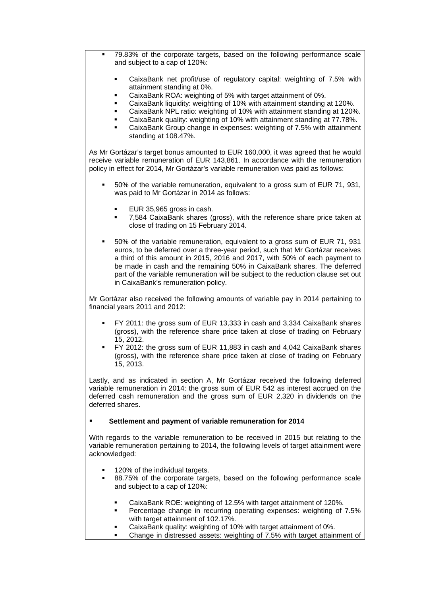- 79.83% of the corporate targets, based on the following performance scale and subject to a cap of 120%:
	- CaixaBank net profit/use of regulatory capital: weighting of 7.5% with attainment standing at 0%.
	- CaixaBank ROA: weighting of 5% with target attainment of 0%.
	- CaixaBank liquidity: weighting of 10% with attainment standing at 120%.
	- CaixaBank NPL ratio: weighting of 10% with attainment standing at 120%.
	- CaixaBank quality: weighting of 10% with attainment standing at 77.78%.
	- CaixaBank Group change in expenses: weighting of 7.5% with attainment standing at 108.47%.

As Mr Gortázar's target bonus amounted to EUR 160,000, it was agreed that he would receive variable remuneration of EUR 143,861. In accordance with the remuneration policy in effect for 2014, Mr Gortázar's variable remuneration was paid as follows:

- 50% of the variable remuneration, equivalent to a gross sum of EUR 71, 931, was paid to Mr Gortázar in 2014 as follows:
	- EUR 35,965 gross in cash.
	- 7,584 CaixaBank shares (gross), with the reference share price taken at close of trading on 15 February 2014.
- 50% of the variable remuneration, equivalent to a gross sum of EUR 71, 931 euros, to be deferred over a three-year period, such that Mr Gortázar receives a third of this amount in 2015, 2016 and 2017, with 50% of each payment to be made in cash and the remaining 50% in CaixaBank shares. The deferred part of the variable remuneration will be subject to the reduction clause set out in CaixaBank's remuneration policy.

Mr Gortázar also received the following amounts of variable pay in 2014 pertaining to financial years 2011 and 2012:

- FY 2011: the gross sum of EUR 13,333 in cash and 3,334 CaixaBank shares (gross), with the reference share price taken at close of trading on February 15, 2012.
- FY 2012: the gross sum of EUR 11,883 in cash and 4,042 CaixaBank shares (gross), with the reference share price taken at close of trading on February 15, 2013.

Lastly, and as indicated in section A, Mr Gortázar received the following deferred variable remuneration in 2014: the gross sum of EUR 542 as interest accrued on the deferred cash remuneration and the gross sum of EUR 2,320 in dividends on the deferred shares.

### **Settlement and payment of variable remuneration for 2014**

With regards to the variable remuneration to be received in 2015 but relating to the variable remuneration pertaining to 2014, the following levels of target attainment were acknowledged:

- 120% of the individual targets.
- 88.75% of the corporate targets, based on the following performance scale and subject to a cap of 120%:
	- CaixaBank ROE: weighting of 12.5% with target attainment of 120%.
	- Percentage change in recurring operating expenses: weighting of 7.5% with target attainment of 102.17%.
	- CaixaBank quality: weighting of 10% with target attainment of 0%.
	- Change in distressed assets: weighting of 7.5% with target attainment of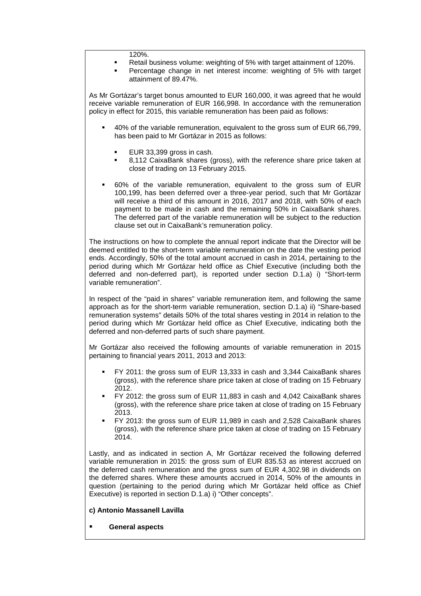#### 120%.

- Retail business volume: weighting of 5% with target attainment of 120%.
- Percentage change in net interest income: weighting of 5% with target attainment of 89.47%.

As Mr Gortázar's target bonus amounted to EUR 160,000, it was agreed that he would receive variable remuneration of EUR 166,998. In accordance with the remuneration policy in effect for 2015, this variable remuneration has been paid as follows:

- 40% of the variable remuneration, equivalent to the gross sum of EUR 66,799, has been paid to Mr Gortázar in 2015 as follows:
	- EUR 33,399 gross in cash.
	- 8,112 CaixaBank shares (gross), with the reference share price taken at close of trading on 13 February 2015.
- 60% of the variable remuneration, equivalent to the gross sum of EUR 100,199, has been deferred over a three-year period, such that Mr Gortázar will receive a third of this amount in 2016, 2017 and 2018, with 50% of each payment to be made in cash and the remaining 50% in CaixaBank shares. The deferred part of the variable remuneration will be subject to the reduction clause set out in CaixaBank's remuneration policy.

The instructions on how to complete the annual report indicate that the Director will be deemed entitled to the short-term variable remuneration on the date the vesting period ends. Accordingly, 50% of the total amount accrued in cash in 2014, pertaining to the period during which Mr Gortázar held office as Chief Executive (including both the deferred and non-deferred part), is reported under section D.1.a) i) "Short-term variable remuneration".

In respect of the "paid in shares" variable remuneration item, and following the same approach as for the short-term variable remuneration, section D.1.a) ii) "Share-based remuneration systems" details 50% of the total shares vesting in 2014 in relation to the period during which Mr Gortázar held office as Chief Executive, indicating both the deferred and non-deferred parts of such share payment.

Mr Gortázar also received the following amounts of variable remuneration in 2015 pertaining to financial years 2011, 2013 and 2013:

- FY 2011: the gross sum of EUR 13,333 in cash and 3,344 CaixaBank shares (gross), with the reference share price taken at close of trading on 15 February 2012.
- FY 2012: the gross sum of EUR 11,883 in cash and 4,042 CaixaBank shares (gross), with the reference share price taken at close of trading on 15 February 2013.
- FY 2013: the gross sum of EUR 11,989 in cash and 2,528 CaixaBank shares (gross), with the reference share price taken at close of trading on 15 February 2014.

Lastly, and as indicated in section A, Mr Gortázar received the following deferred variable remuneration in 2015: the gross sum of EUR 835.53 as interest accrued on the deferred cash remuneration and the gross sum of EUR 4,302.98 in dividends on the deferred shares. Where these amounts accrued in 2014, 50% of the amounts in question (pertaining to the period during which Mr Gortázar held office as Chief Executive) is reported in section D.1.a) i) "Other concepts".

- **c) Antonio Massanell Lavilla**
- **General aspects**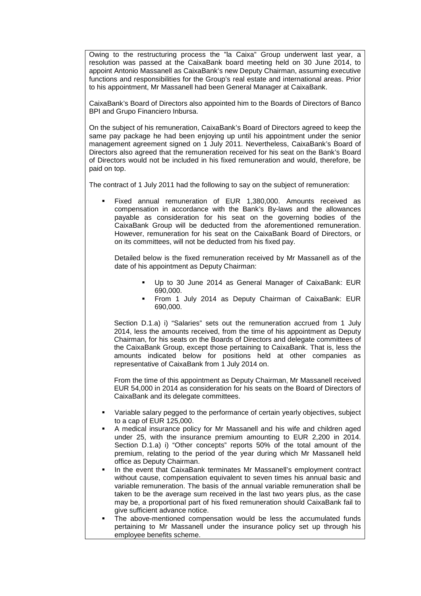Owing to the restructuring process the "la Caixa" Group underwent last year, a resolution was passed at the CaixaBank board meeting held on 30 June 2014, to appoint Antonio Massanell as CaixaBank's new Deputy Chairman, assuming executive functions and responsibilities for the Group's real estate and international areas. Prior to his appointment, Mr Massanell had been General Manager at CaixaBank.

CaixaBank's Board of Directors also appointed him to the Boards of Directors of Banco BPI and Grupo Financiero Inbursa.

On the subject of his remuneration, CaixaBank's Board of Directors agreed to keep the same pay package he had been enjoying up until his appointment under the senior management agreement signed on 1 July 2011. Nevertheless, CaixaBank's Board of Directors also agreed that the remuneration received for his seat on the Bank's Board of Directors would not be included in his fixed remuneration and would, therefore, be paid on top.

The contract of 1 July 2011 had the following to say on the subject of remuneration:

 Fixed annual remuneration of EUR 1,380,000. Amounts received as compensation in accordance with the Bank's By-laws and the allowances payable as consideration for his seat on the governing bodies of the CaixaBank Group will be deducted from the aforementioned remuneration. However, remuneration for his seat on the CaixaBank Board of Directors, or on its committees, will not be deducted from his fixed pay.

Detailed below is the fixed remuneration received by Mr Massanell as of the date of his appointment as Deputy Chairman:

- Up to 30 June 2014 as General Manager of CaixaBank: EUR 690,000.
- From 1 July 2014 as Deputy Chairman of CaixaBank: EUR 690,000.

Section D.1.a) i) "Salaries" sets out the remuneration accrued from 1 July 2014, less the amounts received, from the time of his appointment as Deputy Chairman, for his seats on the Boards of Directors and delegate committees of the CaixaBank Group, except those pertaining to CaixaBank. That is, less the amounts indicated below for positions held at other companies as representative of CaixaBank from 1 July 2014 on.

From the time of this appointment as Deputy Chairman, Mr Massanell received EUR 54,000 in 2014 as consideration for his seats on the Board of Directors of CaixaBank and its delegate committees.

- Variable salary pegged to the performance of certain yearly objectives, subject to a cap of EUR 125,000.
- A medical insurance policy for Mr Massanell and his wife and children aged under 25, with the insurance premium amounting to EUR 2,200 in 2014. Section D.1.a) i) "Other concepts" reports 50% of the total amount of the premium, relating to the period of the year during which Mr Massanell held office as Deputy Chairman.
- In the event that CaixaBank terminates Mr Massanell's employment contract without cause, compensation equivalent to seven times his annual basic and variable remuneration. The basis of the annual variable remuneration shall be taken to be the average sum received in the last two years plus, as the case may be, a proportional part of his fixed remuneration should CaixaBank fail to give sufficient advance notice.
- The above-mentioned compensation would be less the accumulated funds pertaining to Mr Massanell under the insurance policy set up through his employee benefits scheme.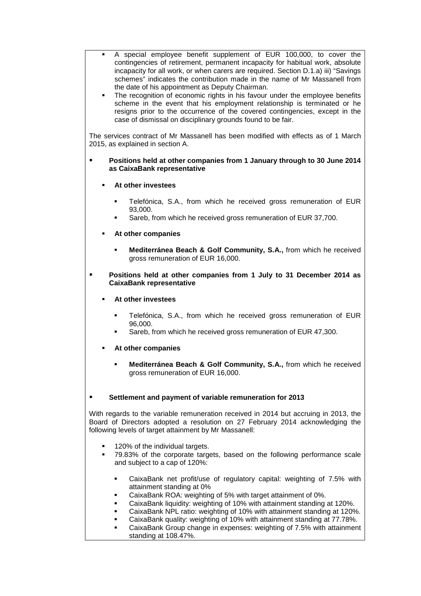- A special employee benefit supplement of EUR 100,000, to cover the contingencies of retirement, permanent incapacity for habitual work, absolute incapacity for all work, or when carers are required. Section D.1.a) iii) "Savings schemes" indicates the contribution made in the name of Mr Massanell from the date of his appointment as Deputy Chairman.
- The recognition of economic rights in his favour under the employee benefits scheme in the event that his employment relationship is terminated or he resigns prior to the occurrence of the covered contingencies, except in the case of dismissal on disciplinary grounds found to be fair.

The services contract of Mr Massanell has been modified with effects as of 1 March 2015, as explained in section A.

### **Positions held at other companies from 1 January through to 30 June 2014 as CaixaBank representative**

- **At other investees**
	- Telefónica, S.A., from which he received gross remuneration of EUR 93,000.
	- Sareb, from which he received gross remuneration of EUR 37,700.
- **At other companies**
	- **Mediterránea Beach & Golf Community, S.A.,** from which he received gross remuneration of EUR 16,000.
- **Positions held at other companies from 1 July to 31 December 2014 as CaixaBank representative**
	- **At other investees**
		- Telefónica, S.A., from which he received gross remuneration of EUR 96,000.
		- Sareb, from which he received gross remuneration of EUR 47,300.
	- **At other companies**
		- **Mediterránea Beach & Golf Community, S.A.,** from which he received gross remuneration of EUR 16,000.

### **Settlement and payment of variable remuneration for 2013**

With regards to the variable remuneration received in 2014 but accruing in 2013, the Board of Directors adopted a resolution on 27 February 2014 acknowledging the following levels of target attainment by Mr Massanell:

- 120% of the individual targets.
- 79.83% of the corporate targets, based on the following performance scale and subject to a cap of 120%:
	- CaixaBank net profit/use of regulatory capital: weighting of 7.5% with attainment standing at 0%
	- CaixaBank ROA: weighting of 5% with target attainment of 0%.
	- CaixaBank liquidity: weighting of 10% with attainment standing at 120%.
	- CaixaBank NPL ratio: weighting of 10% with attainment standing at 120%.
	- CaixaBank quality: weighting of 10% with attainment standing at 77.78%.
	- CaixaBank Group change in expenses: weighting of 7.5% with attainment standing at 108.47%.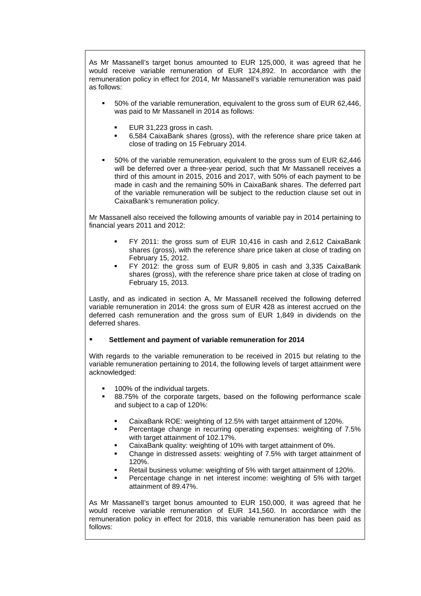As Mr Massanell's target bonus amounted to EUR 125,000, it was agreed that he would receive variable remuneration of EUR 124,892. In accordance with the remuneration policy in effect for 2014, Mr Massanell's variable remuneration was paid as follows:

- 50% of the variable remuneration, equivalent to the gross sum of EUR 62,446, was paid to Mr Massanell in 2014 as follows:
	- EUR 31,223 gross in cash.
	- 6,584 CaixaBank shares (gross), with the reference share price taken at close of trading on 15 February 2014.
- 50% of the variable remuneration, equivalent to the gross sum of EUR 62,446 will be deferred over a three-year period, such that Mr Massanell receives a third of this amount in 2015, 2016 and 2017, with 50% of each payment to be made in cash and the remaining 50% in CaixaBank shares. The deferred part of the variable remuneration will be subject to the reduction clause set out in CaixaBank's remuneration policy.

Mr Massanell also received the following amounts of variable pay in 2014 pertaining to financial years 2011 and 2012:

- FY 2011: the gross sum of EUR 10,416 in cash and 2,612 CaixaBank shares (gross), with the reference share price taken at close of trading on February 15, 2012.
- FY 2012: the gross sum of EUR 9,805 in cash and 3,335 CaixaBank shares (gross), with the reference share price taken at close of trading on February 15, 2013.

Lastly, and as indicated in section A, Mr Massanell received the following deferred variable remuneration in 2014: the gross sum of EUR 428 as interest accrued on the deferred cash remuneration and the gross sum of EUR 1,849 in dividends on the deferred shares.

### **Settlement and payment of variable remuneration for 2014**

With regards to the variable remuneration to be received in 2015 but relating to the variable remuneration pertaining to 2014, the following levels of target attainment were acknowledged:

- 100% of the individual targets.
- 88.75% of the corporate targets, based on the following performance scale and subject to a cap of 120%:
	- CaixaBank ROE: weighting of 12.5% with target attainment of 120%.
	- Percentage change in recurring operating expenses: weighting of 7.5% with target attainment of 102.17%.
	- CaixaBank quality: weighting of 10% with target attainment of 0%.
	- Change in distressed assets: weighting of 7.5% with target attainment of 120%.
	- Retail business volume: weighting of 5% with target attainment of 120%.
	- Percentage change in net interest income: weighting of 5% with target attainment of 89.47%.

As Mr Massanell's target bonus amounted to EUR 150,000, it was agreed that he would receive variable remuneration of EUR 141,560. In accordance with the remuneration policy in effect for 2018, this variable remuneration has been paid as follows: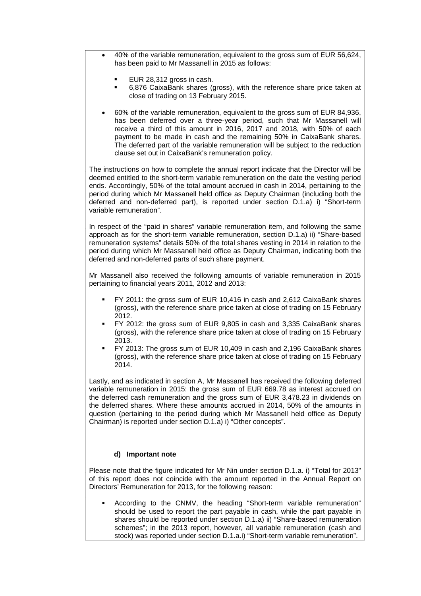- 40% of the variable remuneration, equivalent to the gross sum of EUR 56,624, has been paid to Mr Massanell in 2015 as follows:
	- EUR 28,312 gross in cash.
	- 6,876 CaixaBank shares (gross), with the reference share price taken at close of trading on 13 February 2015.
- 60% of the variable remuneration, equivalent to the gross sum of EUR 84,936, has been deferred over a three-year period, such that Mr Massanell will receive a third of this amount in 2016, 2017 and 2018, with 50% of each payment to be made in cash and the remaining 50% in CaixaBank shares. The deferred part of the variable remuneration will be subject to the reduction clause set out in CaixaBank's remuneration policy.

The instructions on how to complete the annual report indicate that the Director will be deemed entitled to the short-term variable remuneration on the date the vesting period ends. Accordingly, 50% of the total amount accrued in cash in 2014, pertaining to the period during which Mr Massanell held office as Deputy Chairman (including both the deferred and non-deferred part), is reported under section D.1.a) i) "Short-term variable remuneration".

In respect of the "paid in shares" variable remuneration item, and following the same approach as for the short-term variable remuneration, section D.1.a) ii) "Share-based remuneration systems" details 50% of the total shares vesting in 2014 in relation to the period during which Mr Massanell held office as Deputy Chairman, indicating both the deferred and non-deferred parts of such share payment.

Mr Massanell also received the following amounts of variable remuneration in 2015 pertaining to financial years 2011, 2012 and 2013:

- FY 2011: the gross sum of EUR 10,416 in cash and 2,612 CaixaBank shares (gross), with the reference share price taken at close of trading on 15 February 2012.
- FY 2012: the gross sum of EUR 9,805 in cash and 3,335 CaixaBank shares (gross), with the reference share price taken at close of trading on 15 February 2013.
- FY 2013: The gross sum of EUR 10,409 in cash and 2,196 CaixaBank shares (gross), with the reference share price taken at close of trading on 15 February 2014.

Lastly, and as indicated in section A, Mr Massanell has received the following deferred variable remuneration in 2015: the gross sum of EUR 669.78 as interest accrued on the deferred cash remuneration and the gross sum of EUR 3,478.23 in dividends on the deferred shares. Where these amounts accrued in 2014, 50% of the amounts in question (pertaining to the period during which Mr Massanell held office as Deputy Chairman) is reported under section D.1.a) i) "Other concepts".

### **d) Important note**

32.

Please note that the figure indicated for Mr Nin under section D.1.a. i) "Total for 2013" of this report does not coincide with the amount reported in the Annual Report on Directors' Remuneration for 2013, for the following reason:

 According to the CNMV, the heading "Short-term variable remuneration" should be used to report the part payable in cash, while the part payable in shares should be reported under section D.1.a) ii) "Share-based remuneration schemes"; in the 2013 report, however, all variable remuneration (cash and stock) was reported under section D.1.a.i) "Short-term variable remuneration".